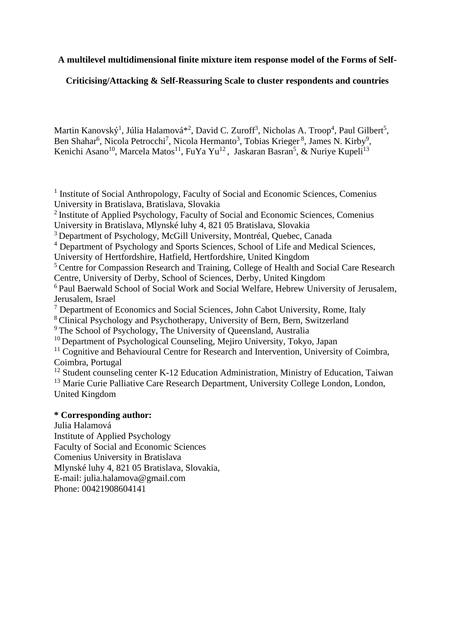# **A multilevel multidimensional finite mixture item response model of the Forms of Self-**

# **Criticising/Attacking & Self-Reassuring Scale to cluster respondents and countries**

Martin Kanovský<sup>1</sup>, Júlia Halamová\*<sup>2</sup>, David C. Zuroff<sup>3</sup>, Nicholas A. Troop<sup>4</sup>, Paul Gilbert<sup>5</sup>, Ben Shahar<sup>6</sup>, Nicola Petrocchi<sup>7</sup>, [Nicola Hermanto](https://www.researchgate.net/profile/Nicola_Hermanto)<sup>3</sup>, Tobias Krieger<sup>8</sup>, James N. Kirby<sup>9</sup>, [Kenichi Asano](https://www.researchgate.net/profile/Kenichi_Asano)<sup>10</sup>, Marcela Matos<sup>11</sup>, FuYa Yu<sup>12</sup>, Jaskaran Basran<sup>5</sup>, & [Nuriye Kupeli](https://www.researchgate.net/profile/Nuriye_Kupeli)<sup>13</sup>

<sup>1</sup> Institute of Social Anthropology, Faculty of Social and Economic Sciences, Comenius University in Bratislava, Bratislava, Slovakia

<sup>2</sup>Institute of Applied Psychology, Faculty of Social and Economic Sciences, Comenius University in Bratislava, Mlynské luhy 4, 821 05 Bratislava, Slovakia

<sup>3</sup> Department of Psychology, [McGill University,](https://www.researchgate.net/institution/McGill_University)Montréal, Quebec, Canada

<sup>4</sup> [Department of Psychology and Sports Sciences,](http://researchprofiles.herts.ac.uk/portal/en/organisations/department-of-psychology-and-sports-sciences%2855115df7-4a1b-422b-a866-14b08da2e986%29.html) [School of Life and Medical Sciences,](http://researchprofiles.herts.ac.uk/portal/en/organisations/school-of-life-and-medical-sciences%280f8d8e25-45c7-4edd-a3aa-94924b06ac7a%29.html)

University of Hertfordshire, Hatfield, Hertfordshire, United Kingdom

<sup>5</sup> Centre for Compassion Research and Training, College of Health and Social Care Research Centre, University of Derby, School of Sciences, Derby, United Kingdom

<sup>6</sup> Paul Baerwald School of Social Work and Social Welfare, Hebrew University of Jerusalem, Jerusalem, Israel

<sup>7</sup> [Department of Economics](https://www.researchgate.net/institution/John_Cabot_University/department/Political_and_Social_Sciences) and Social Sciences, John Cabot University, Rome, Italy

<sup>8</sup>[Clinical Psychology and Psychotherapy,](https://unibe-ch2.academia.edu/Departments/Clinical_Psychology_and_Psychotherapy/Documents) [University of Bern,](https://unibe-ch2.academia.edu/) Bern, Switzerland

<sup>9</sup>The School of Psychology, The University of Queensland, Australia

 $10$  [Department of Psychological Counseling,](https://www.researchgate.net/institution/Chiba_University/department/Research_Center_for_Child_Mental_Development) Mejiro University, Tokyo, Japan

<sup>11</sup> Cognitive and Behavioural Centre for Research and Intervention, University of Coimbra, Coimbra, Portugal

<sup>12</sup> Student counseling center K-12 Education Administration, Ministry of Education, Taiwan

<sup>13</sup> Marie Curie Palliative Care Research Department, [University College London,](https://www.researchgate.net/institution/University_College_London) London, United Kingdom

# **\* Corresponding author:**

Julia Halamová Institute of Applied Psychology Faculty of Social and Economic Sciences Comenius University in Bratislava Mlynské luhy 4, 821 05 Bratislava, Slovakia, E-mail: [julia.halamova@gmail.com](mailto:julia.halamova@gmail.com) Phone: 00421908604141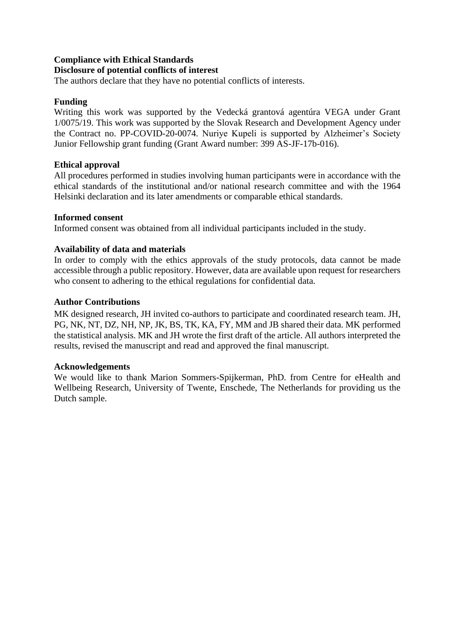# **Compliance with Ethical Standards**

# **Disclosure of potential conflicts of interest**

The authors declare that they have no potential conflicts of interests.

# **Funding**

Writing this work was supported by the Vedecká grantová agentúra VEGA under Grant 1/0075/19. This work was supported by the Slovak Research and Development Agency under the Contract no. PP-COVID-20-0074. Nuriye Kupeli is supported by Alzheimer's Society Junior Fellowship grant funding (Grant Award number: 399 AS-JF-17b-016).

# **Ethical approval**

All procedures performed in studies involving human participants were in accordance with the ethical standards of the institutional and/or national research committee and with the 1964 Helsinki declaration and its later amendments or comparable ethical standards.

# **Informed consent**

Informed consent was obtained from all individual participants included in the study.

# **Availability of data and materials**

In order to comply with the ethics approvals of the study protocols, data cannot be made accessible through a public repository. However, data are available upon request for researchers who consent to adhering to the ethical regulations for confidential data.

# **Author Contributions**

MK designed research, JH invited co-authors to participate and coordinated research team. JH, PG, NK, NT, DZ, NH, NP, JK, BS, TK, KA, FY, MM and JB shared their data. MK performed the statistical analysis. MK and JH wrote the first draft of the article. All authors interpreted the results, revised the manuscript and read and approved the final manuscript.

## **Acknowledgements**

We would like to thank Marion Sommers-Spijkerman, PhD. from Centre for eHealth and Wellbeing Research, University of Twente, Enschede, The Netherlands for providing us the Dutch sample.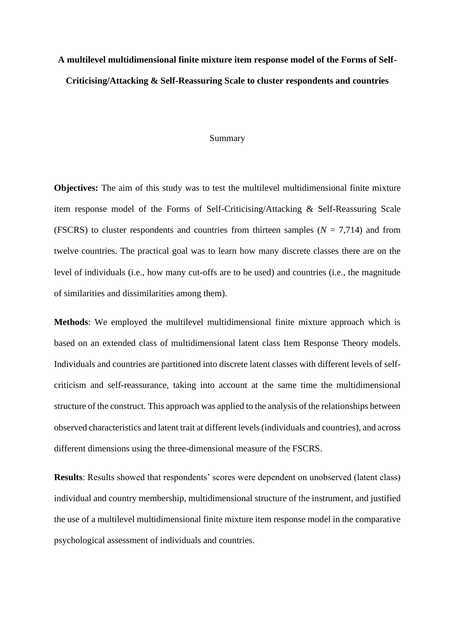# **A multilevel multidimensional finite mixture item response model of the Forms of Self-Criticising/Attacking & Self-Reassuring Scale to cluster respondents and countries**

#### Summary

**Objectives:** The aim of this study was to test the multilevel multidimensional finite mixture item response model of the Forms of Self-Criticising/Attacking & Self-Reassuring Scale (FSCRS) to cluster respondents and countries from thirteen samples ( $N = 7.714$ ) and from twelve countries. The practical goal was to learn how many discrete classes there are on the level of individuals (i.e., how many cut-offs are to be used) and countries (i.e., the magnitude of similarities and dissimilarities among them).

**Methods**: We employed the multilevel multidimensional finite mixture approach which is based on an extended class of multidimensional latent class Item Response Theory models. Individuals and countries are partitioned into discrete latent classes with different levels of selfcriticism and self-reassurance, taking into account at the same time the multidimensional structure of the construct. This approach was applied to the analysis of the relationships between observed characteristics and latent trait at different levels (individuals and countries), and across different dimensions using the three-dimensional measure of the FSCRS.

**Results**: Results showed that respondents' scores were dependent on unobserved (latent class) individual and country membership, multidimensional structure of the instrument, and justified the use of a multilevel multidimensional finite mixture item response model in the comparative psychological assessment of individuals and countries.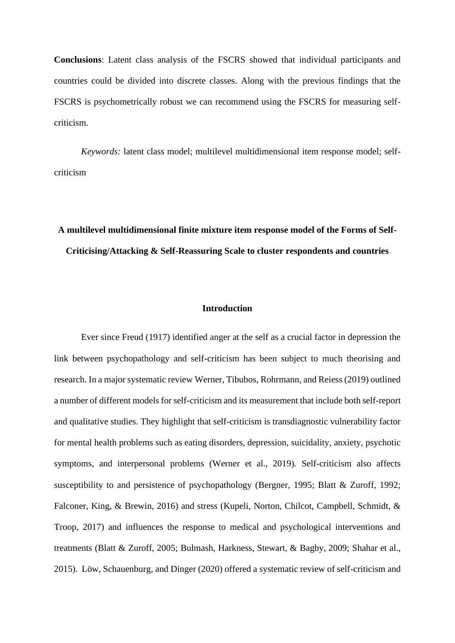**Conclusions**: Latent class analysis of the FSCRS showed that individual participants and countries could be divided into discrete classes. Along with the previous findings that the FSCRS is psychometrically robust we can recommend using the FSCRS for measuring selfcriticism.

*Keywords:* latent class model; multilevel multidimensional item response model; selfcriticism

# **A multilevel multidimensional finite mixture item response model of the Forms of Self-Criticising/Attacking & Self-Reassuring Scale to cluster respondents and countries**

## **Introduction**

Ever since Freud (1917) identified anger at the self as a crucial factor in depression the link between psychopathology and self-criticism has been subject to much theorising and research. In a major systematic review Werner, Tibubos, Rohrmann, and Reiess (2019) outlined a number of different models for self-criticism and its measurement that include both self-report and qualitative studies. They highlight that self-criticism is transdiagnostic vulnerability factor for mental health problems such as eating disorders, depression, suicidality, anxiety, psychotic symptoms, and interpersonal problems (Werner et al., 2019). Self-criticism also affects susceptibility to and persistence of psychopathology (Bergner, 1995; Blatt & Zuroff, 1992; Falconer, King, & Brewin, 2016) and stress (Kupeli, Norton, Chilcot, Campbell, Schmidt, & Troop, 2017) and influences the response to medical and psychological interventions and treatments (Blatt & Zuroff, 2005; Bulmash, Harkness, Stewart, & Bagby, 2009; Shahar et al., 2015). Löw, Schauenburg, and Dinger (2020) offered a systematic review of self-criticism and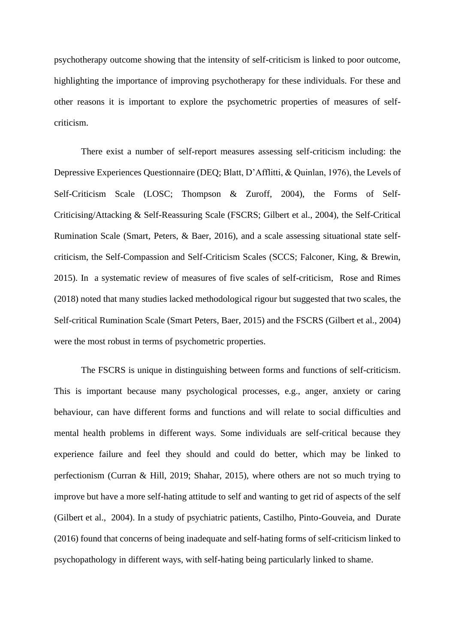psychotherapy outcome showing that the intensity of self-criticism is linked to poor outcome, highlighting the importance of improving psychotherapy for these individuals. For these and other reasons it is important to explore the psychometric properties of measures of selfcriticism.

There exist a number of self-report measures assessing self-criticism including: the Depressive Experiences Questionnaire (DEQ; Blatt, D'Afflitti, & Quinlan, 1976), the Levels of Self-Criticism Scale (LOSC; Thompson & Zuroff, 2004), the Forms of Self-Criticising/Attacking & Self-Reassuring Scale (FSCRS; Gilbert et al., 2004), the Self-Critical Rumination Scale (Smart, Peters, & Baer, 2016), and a scale assessing situational state selfcriticism, the Self-Compassion and Self-Criticism Scales (SCCS; Falconer, King, & Brewin, 2015). In a systematic review of measures of five scales of self-criticism, Rose and Rimes (2018) noted that many studies lacked methodological rigour but suggested that two scales, the Self-critical Rumination Scale (Smart Peters, Baer, 2015) and the FSCRS (Gilbert et al., 2004) were the most robust in terms of psychometric properties.

The FSCRS is unique in distinguishing between forms and functions of self-criticism. This is important because many psychological processes, e.g., anger, anxiety or caring behaviour, can have different forms and functions and will relate to social difficulties and mental health problems in different ways. Some individuals are self-critical because they experience failure and feel they should and could do better, which may be linked to perfectionism (Curran & Hill, 2019; Shahar, 2015), where others are not so much trying to improve but have a more self-hating attitude to self and wanting to get rid of aspects of the self (Gilbert et al., 2004). In a study of psychiatric patients, Castilho, Pinto-Gouveia, and Durate (2016) found that concerns of being inadequate and self-hating forms of self-criticism linked to psychopathology in different ways, with self-hating being particularly linked to shame.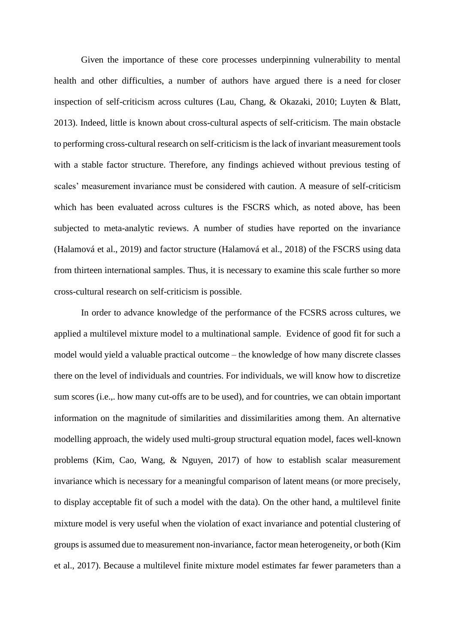Given the importance of these core processes underpinning vulnerability to mental health and other difficulties, a number of authors have argued there is a need for closer inspection of self-criticism across cultures (Lau, Chang, & Okazaki, 2010; Luyten & Blatt, 2013). Indeed, little is known about cross-cultural aspects of self-criticism. The main obstacle to performing cross-cultural research on self-criticism is the lack of invariant measurement tools with a stable factor structure. Therefore, any findings achieved without previous testing of scales' measurement invariance must be considered with caution. A measure of self-criticism which has been evaluated across cultures is the FSCRS which, as noted above, has been subjected to meta-analytic reviews. A number of studies have reported on the invariance (Halamová et al., 2019) and factor structure (Halamová et al., 2018) of the FSCRS using data from thirteen international samples. Thus, it is necessary to examine this scale further so more cross-cultural research on self-criticism is possible.

In order to advance knowledge of the performance of the FCSRS across cultures, we applied a multilevel mixture model to a multinational sample. Evidence of good fit for such a model would yield a valuable practical outcome – the knowledge of how many discrete classes there on the level of individuals and countries. For individuals, we will know how to discretize sum scores (i.e.,. how many cut-offs are to be used), and for countries, we can obtain important information on the magnitude of similarities and dissimilarities among them. An alternative modelling approach, the widely used multi-group structural equation model, faces well-known problems (Kim, Cao, Wang, & Nguyen, 2017) of how to establish scalar measurement invariance which is necessary for a meaningful comparison of latent means (or more precisely, to display acceptable fit of such a model with the data). On the other hand, a multilevel finite mixture model is very useful when the violation of exact invariance and potential clustering of groups is assumed due to measurement non-invariance, factor mean heterogeneity, or both (Kim et al., 2017). Because a multilevel finite mixture model estimates far fewer parameters than a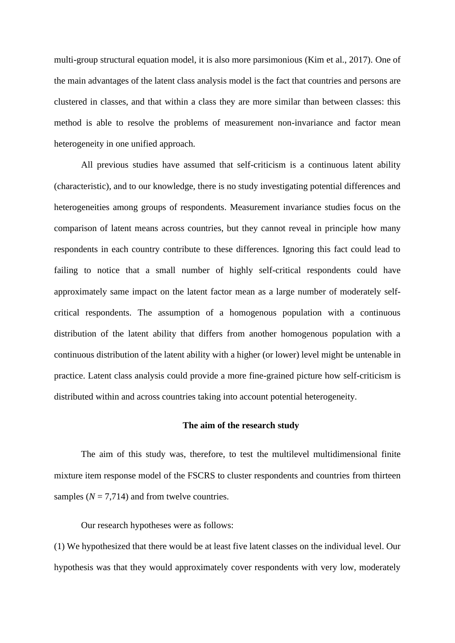multi-group structural equation model, it is also more parsimonious (Kim et al., 2017). One of the main advantages of the latent class analysis model is the fact that countries and persons are clustered in classes, and that within a class they are more similar than between classes: this method is able to resolve the problems of measurement non-invariance and factor mean heterogeneity in one unified approach.

All previous studies have assumed that self-criticism is a continuous latent ability (characteristic), and to our knowledge, there is no study investigating potential differences and heterogeneities among groups of respondents. Measurement invariance studies focus on the comparison of latent means across countries, but they cannot reveal in principle how many respondents in each country contribute to these differences. Ignoring this fact could lead to failing to notice that a small number of highly self-critical respondents could have approximately same impact on the latent factor mean as a large number of moderately selfcritical respondents. The assumption of a homogenous population with a continuous distribution of the latent ability that differs from another homogenous population with a continuous distribution of the latent ability with a higher (or lower) level might be untenable in practice. Latent class analysis could provide a more fine-grained picture how self-criticism is distributed within and across countries taking into account potential heterogeneity.

## **The aim of the research study**

The aim of this study was, therefore, to test the multilevel multidimensional finite mixture item response model of the FSCRS to cluster respondents and countries from thirteen samples  $(N = 7,714)$  and from twelve countries.

Our research hypotheses were as follows:

(1) We hypothesized that there would be at least five latent classes on the individual level. Our hypothesis was that they would approximately cover respondents with very low, moderately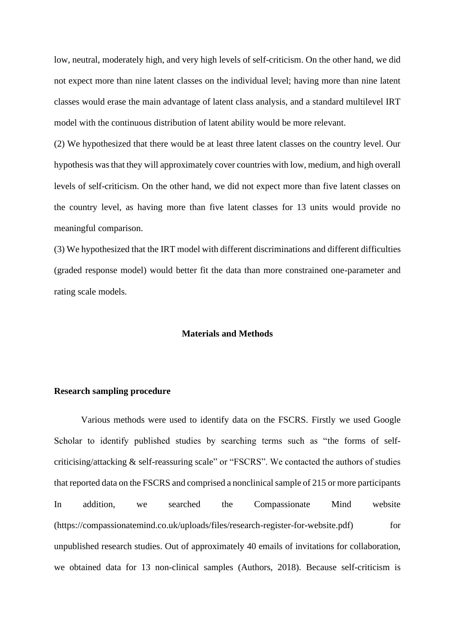low, neutral, moderately high, and very high levels of self-criticism. On the other hand, we did not expect more than nine latent classes on the individual level; having more than nine latent classes would erase the main advantage of latent class analysis, and a standard multilevel IRT model with the continuous distribution of latent ability would be more relevant.

(2) We hypothesized that there would be at least three latent classes on the country level. Our hypothesis was that they will approximately cover countries with low, medium, and high overall levels of self-criticism. On the other hand, we did not expect more than five latent classes on the country level, as having more than five latent classes for 13 units would provide no meaningful comparison.

(3) We hypothesized that the IRT model with different discriminations and different difficulties (graded response model) would better fit the data than more constrained one-parameter and rating scale models.

## **Materials and Methods**

## **Research sampling procedure**

Various methods were used to identify data on the FSCRS. Firstly we used Google Scholar to identify published studies by searching terms such as "the forms of selfcriticising/attacking & self-reassuring scale" or "FSCRS". We contacted the authors of studies that reported data on the FSCRS and comprised a nonclinical sample of 215 or more participants In addition, we searched the Compassionate Mind website [\(https://compassionatemind.co.uk/uploads/files/research-register-for-website.pdf\)](https://compassionatemind.co.uk/uploads/files/research-register-for-website.pdf) for unpublished research studies. Out of approximately 40 emails of invitations for collaboration, we obtained data for 13 non-clinical samples (Authors, 2018). Because self-criticism is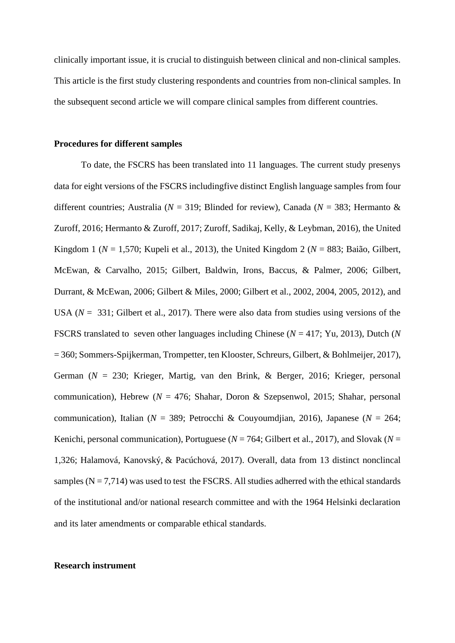clinically important issue, it is crucial to distinguish between clinical and non-clinical samples. This article is the first study clustering respondents and countries from non-clinical samples. In the subsequent second article we will compare clinical samples from different countries.

#### **Procedures for different samples**

To date, the FSCRS has been translated into 11 languages. The current study presenys data for eight versions of the FSCRS includingfive distinct English language samples from four different countries; Australia (*N* = 319; Blinded for review), Canada (*N* = 383; Hermanto & Zuroff, 2016; Hermanto & Zuroff, 2017; Zuroff, Sadikaj, Kelly, & Leybman, 2016), the United Kingdom 1 (*N* = 1,570; Kupeli et al., 2013), the United Kingdom 2 (*N* = 883; [Baião,](https://www.ncbi.nlm.nih.gov/pubmed/?term=Bai%C3%A3o%20R%5BAuthor%5D&cauthor=true&cauthor_uid=25492845) [Gilbert,](https://www.ncbi.nlm.nih.gov/pubmed/?term=Gilbert%20P%5BAuthor%5D&cauthor=true&cauthor_uid=25492845)  [McEwan, &](https://www.ncbi.nlm.nih.gov/pubmed/?term=McEwan%20K%5BAuthor%5D&cauthor=true&cauthor_uid=25492845) [Carvalho, 2015;](https://www.ncbi.nlm.nih.gov/pubmed/?term=Carvalho%20S%5BAuthor%5D&cauthor=true&cauthor_uid=25492845) Gilbert, Baldwin, Irons, Baccus, & Palmer, 2006; Gilbert, Durrant, & McEwan, 2006; Gilbert & Miles, 2000; Gilbert et al., 2002, 2004, 2005, 2012), and USA (*N* = 331; Gilbert et al., 2017). There were also data from studies using versions of the FSCRS translated to seven other languages including Chinese (*N* = 417; Yu, 2013), Dutch (*N* = 360; Sommers-Spijkerman, Trompetter, ten Klooster, Schreurs, Gilbert, & Bohlmeijer, 2017), German (*N* = 230; Krieger, Martig, van den Brink, & Berger, 2016; Krieger, personal communication), Hebrew ( $N = 476$ ; Shahar, Doron & Szepsenwol, 2015; Shahar, personal communication), Italian (*N* = 389; Petrocchi & Couyoumdjian, 2016), Japanese (*N* = 264; Kenichi, personal communication), Portuguese ( $N = 764$ ; Gilbert et al., 2017), and Slovak ( $N =$ 1,326; Halamová, Kanovský, & Pacúchová, 2017). Overall, data from 13 distinct nonclincal samples  $(N = 7,714)$  was used to test the FSCRS. All studies adherred with the ethical standards of the institutional and/or national research committee and with the 1964 Helsinki declaration and its later amendments or comparable ethical standards.

#### **Research instrument**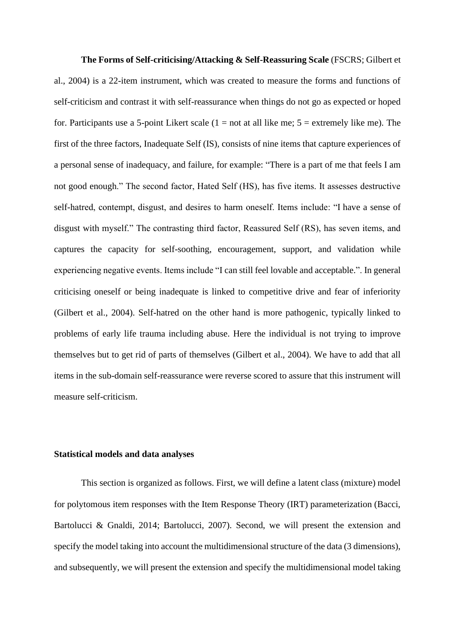**The Forms of Self-criticising/Attacking & Self-Reassuring Scale** (FSCRS; Gilbert et al., 2004) is a 22-item instrument, which was created to measure the forms and functions of self-criticism and contrast it with self-reassurance when things do not go as expected or hoped for. Participants use a 5-point Likert scale  $(1 = not at all like me; 5 = extremely like me)$ . The first of the three factors, Inadequate Self (IS), consists of nine items that capture experiences of a personal sense of inadequacy, and failure, for example: "There is a part of me that feels I am not good enough." The second factor, Hated Self (HS), has five items. It assesses destructive self-hatred, contempt, disgust, and desires to harm oneself. Items include: "I have a sense of disgust with myself." The contrasting third factor, Reassured Self (RS), has seven items, and captures the capacity for self-soothing, encouragement, support, and validation while experiencing negative events. Items include "I can still feel lovable and acceptable.". In general criticising oneself or being inadequate is linked to competitive drive and fear of inferiority (Gilbert et al., 2004). Self-hatred on the other hand is more pathogenic, typically linked to problems of early life trauma including abuse. Here the individual is not trying to improve themselves but to get rid of parts of themselves (Gilbert et al., 2004). We have to add that all items in the sub-domain self-reassurance were reverse scored to assure that this instrument will measure self-criticism.

## **Statistical models and data analyses**

This section is organized as follows. First, we will define a latent class (mixture) model for polytomous item responses with the Item Response Theory (IRT) parameterization (Bacci, Bartolucci & Gnaldi, 2014; Bartolucci, 2007). Second, we will present the extension and specify the model taking into account the multidimensional structure of the data (3 dimensions), and subsequently, we will present the extension and specify the multidimensional model taking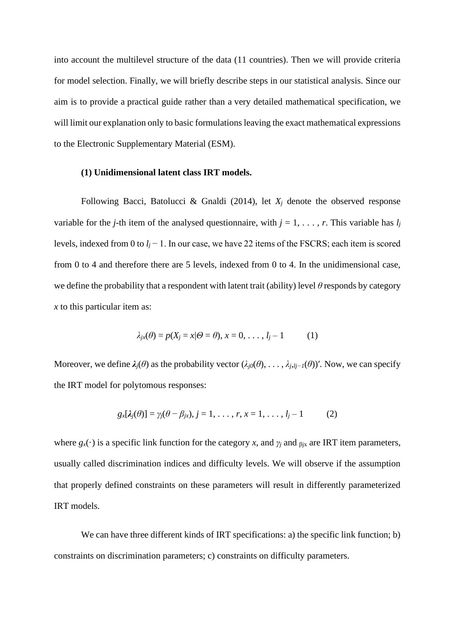into account the multilevel structure of the data (11 countries). Then we will provide criteria for model selection. Finally, we will briefly describe steps in our statistical analysis. Since our aim is to provide a practical guide rather than a very detailed mathematical specification, we will limit our explanation only to basic formulations leaving the exact mathematical expressions to the Electronic Supplementary Material (ESM).

## **(1) Unidimensional latent class IRT models.**

Following Bacci, Batolucci & Gnaldi (2014), let  $X_i$  denote the observed response variable for the *j*-th item of the analysed questionnaire, with  $j = 1, \ldots, r$ . This variable has  $l_j$ levels, indexed from 0 to *l<sup>j</sup>* − 1. In our case, we have 22 items of the FSCRS; each item is scored from 0 to 4 and therefore there are 5 levels, indexed from 0 to 4. In the unidimensional case, we define the probability that a respondent with latent trait (ability) level *θ* responds by category *x* to this particular item as:

$$
\lambda_{jx}(\theta) = p(X_j = x | \theta = \theta), x = 0, \dots, l_j - 1 \tag{1}
$$

Moreover, we define  $\lambda_i(\theta)$  as the probability vector  $(\lambda_i \rho(\theta), \ldots, \lambda_i, i_{i-1}(\theta))'$ . Now, we can specify the IRT model for polytomous responses:

$$
g_x[\lambda_j(\theta)] = \gamma_j(\theta - \beta_{jx}), j = 1, \ldots, r, x = 1, \ldots, l_j - 1 \qquad (2)
$$

where  $g_x(\cdot)$  is a specific link function for the category *x*, and  $\gamma_j$  and  $\beta_j$ <sub>*x*</sub> are IRT item parameters, usually called discrimination indices and difficulty levels. We will observe if the assumption that properly defined constraints on these parameters will result in differently parameterized IRT models.

We can have three different kinds of IRT specifications: a) the specific link function; b) constraints on discrimination parameters; c) constraints on difficulty parameters.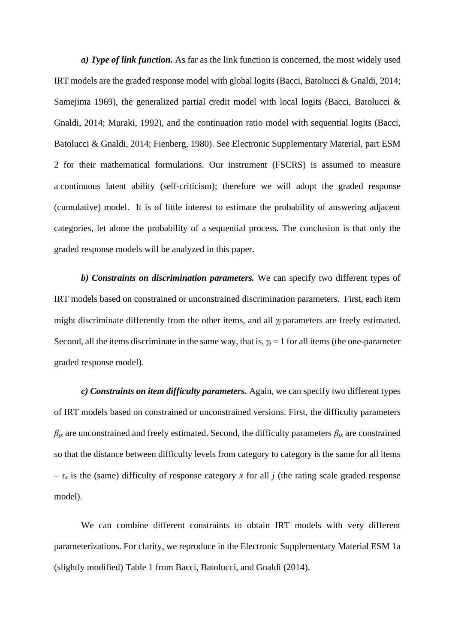*a) Type of link function.* As far as the link function is concerned, the most widely used IRT models are the graded response model with global logits (Bacci, Batolucci & Gnaldi, 2014; Samejima 1969), the generalized partial credit model with local logits (Bacci, Batolucci & Gnaldi, 2014; Muraki, 1992), and the continuation ratio model with sequential logits (Bacci, Batolucci & Gnaldi, 2014; Fienberg, 1980). See Electronic Supplementary Material, part ESM 2 for their mathematical formulations. Our instrument (FSCRS) is assumed to measure a continuous latent ability (self-criticism); therefore we will adopt the graded response (cumulative) model. It is of little interest to estimate the probability of answering adjacent categories, let alone the probability of a sequential process. The conclusion is that only the graded response models will be analyzed in this paper.

*b) Constraints on discrimination parameters.* We can specify two different types of IRT models based on constrained or unconstrained discrimination parameters. First, each item might discriminate differently from the other items, and all *γj* parameters are freely estimated. Second, all the items discriminate in the same way, that is,  $\gamma$ <sup>*j*</sup> = 1 for all items (the one-parameter graded response model).

*c) Constraints on item difficulty parameters.* Again, we can specify two different types of IRT models based on constrained or unconstrained versions. First, the difficulty parameters  $β$ <sub>*jx*</sub> are unconstrained and freely estimated. Second, the difficulty parameters  $β$ <sub>*jx*</sub> are constrained so that the distance between difficulty levels from category to category is the same for all items  $-\tau_x$  is the (same) difficulty of response category x for all *j* (the rating scale graded response model).

We can combine different constraints to obtain IRT models with very different parameterizations. For clarity, we reproduce in the Electronic Supplementary Material ESM 1a (slightly modified) Table 1 from Bacci, Batolucci, and Gnaldi (2014).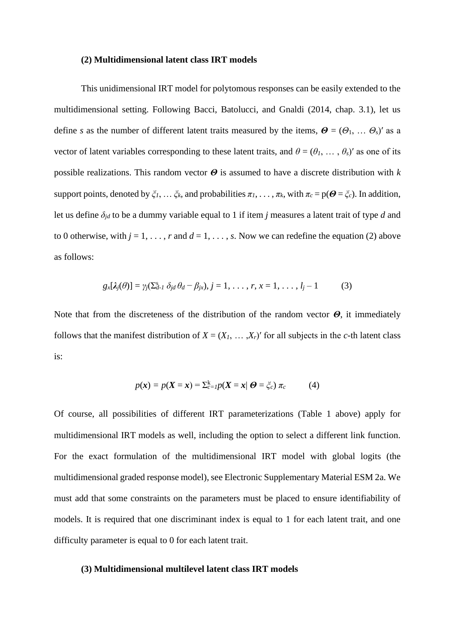#### **(2) Multidimensional latent class IRT models**

This unidimensional IRT model for polytomous responses can be easily extended to the multidimensional setting. Following Bacci, Batolucci, and Gnaldi (2014, chap. 3.1), let us define *s* as the number of different latent traits measured by the items,  $\boldsymbol{\Theta} = (\Theta_1, \dots, \Theta_s)'$  as a vector of latent variables corresponding to these latent traits, and  $\theta = (\theta_1, \dots, \theta_s)'$  as one of its possible realizations. This random vector *Θ* is assumed to have a discrete distribution with *k* support points, denoted by  $\xi_1, \dots, \xi_k$ , and probabilities  $\pi_1, \dots, \pi_k$ , with  $\pi_c = p(\mathbf{\Theta} = \xi_c)$ . In addition, let us define *δjd* to be a dummy variable equal to 1 if item *j* measures a latent trait of type *d* and to 0 otherwise, with  $j = 1, \ldots, r$  and  $d = 1, \ldots, s$ . Now we can redefine the equation (2) above as follows:

$$
g_x[\lambda_j(\theta)] = \gamma_j(\sum_{d=1}^s \delta_{jd} \theta_d - \beta_{jx}), j = 1, \ldots, r, x = 1, \ldots, l_j - 1 \qquad (3)
$$

Note that from the discreteness of the distribution of the random vector *Θ*, it immediately follows that the manifest distribution of  $X = (X_1, \ldots, X_r)'$  for all subjects in the *c*-th latent class is:

$$
p(\mathbf{x}) = p(\mathbf{X} = \mathbf{x}) = \sum_{c=1}^{k} p(\mathbf{X} = \mathbf{x} | \mathbf{\Theta} = \zeta_c) \pi_c
$$
 (4)

Of course, all possibilities of different IRT parameterizations (Table 1 above) apply for multidimensional IRT models as well, including the option to select a different link function. For the exact formulation of the multidimensional IRT model with global logits (the multidimensional graded response model), see Electronic Supplementary Material ESM 2a. We must add that some constraints on the parameters must be placed to ensure identifiability of models. It is required that one discriminant index is equal to 1 for each latent trait, and one difficulty parameter is equal to 0 for each latent trait.

## **(3) Multidimensional multilevel latent class IRT models**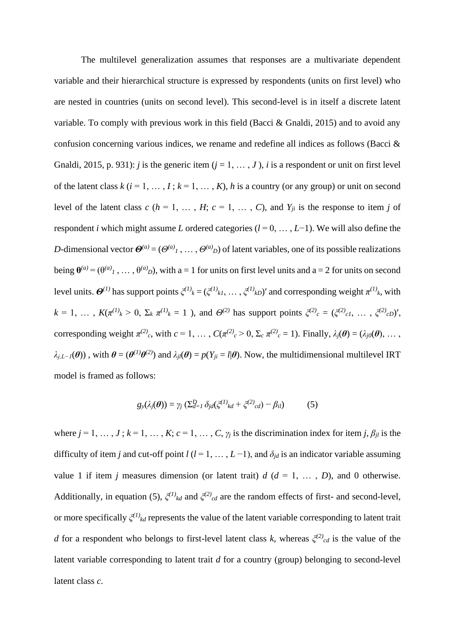The multilevel generalization assumes that responses are a multivariate dependent variable and their hierarchical structure is expressed by respondents (units on first level) who are nested in countries (units on second level). This second-level is in itself a discrete latent variable. To comply with previous work in this field (Bacci & Gnaldi, 2015) and to avoid any confusion concerning various indices, we rename and redefine all indices as follows (Bacci & Gnaldi, 2015, p. 931): *j* is the generic item  $(j = 1, ..., J)$ , *i* is a respondent or unit on first level of the latent class  $k$  ( $i = 1, ..., I$ ;  $k = 1, ..., K$ ),  $h$  is a country (or any group) or unit on second level of the latent class  $c$  ( $h = 1, \ldots, H$ ;  $c = 1, \ldots, C$ ), and  $Y_{ji}$  is the response to item *j* of respondent *i* which might assume *L* ordered categories (*l* = 0, … , *L*−1). We will also define the *D*-dimensional vector  $\mathbf{\Theta}^{(a)} = (\Theta^{(a)}_1, \dots, \Theta^{(a)}_D)$  of latent variables, one of its possible realizations being  $\theta^{(a)} = (\theta^{(a)}_1, \dots, \theta^{(a)}_D)$ , with a = 1 for units on first level units and a = 2 for units on second level units.  $Θ^{(1)}$  has support points  $ξ^{(1)}_k = (ξ^{(1)}_k1, \dots, ξ^{(1)}_kD)'$  and corresponding weight  $π^{(1)}_k$ , with  $k = 1, \ldots, K(\pi^{(1)}_k > 0, \Sigma_k \pi^{(1)}_k = 1)$ , and  $\Theta^{(2)}$  has support points  $\xi^{(2)}_c = (\xi^{(2)}_c, \ldots, \xi^{(2)}_c)$ , corresponding weight  $\pi^{(2)}_c$ , with  $c = 1, ..., C(\pi^{(2)}_c > 0, \Sigma_c \pi^{(2)}_c = 1)$ . Finally,  $\lambda_j(\theta) = (\lambda_{j0}(\theta), ...,$  $\lambda_{j,L-1}(\theta)$ , with  $\theta = (\theta^{(1)}\theta^{(2)})$  and  $\lambda_{jl}(\theta) = p(Y_{ji} = l | \theta)$ . Now, the multidimensional multilevel IRT model is framed as follows:

$$
g_{\mathcal{Y}}(\lambda_j(\boldsymbol{\theta})) = \gamma_j \left( \sum_{d=1}^D \delta_{jd} (\xi^{(1)}{}_{kd} + \xi^{(2)}{}_{cd}) - \beta_{il} \right) \tag{5}
$$

where  $j = 1, \ldots, J$ ;  $k = 1, \ldots, K$ ;  $c = 1, \ldots, C$ ,  $\gamma_j$  is the discrimination index for item *j*,  $\beta_{jl}$  is the difficulty of item *j* and cut-off point  $l$  ( $l$  = 1, …,  $L$  –1), and  $\delta_{jd}$  is an indicator variable assuming value 1 if item *j* measures dimension (or latent trait)  $d$  ( $d = 1, \ldots, D$ ), and 0 otherwise. Additionally, in equation (5),  $\zeta^{(1)}_k$  and  $\zeta^{(2)}_k$  are the random effects of first- and second-level, or more specifically *ξ (1) kd* represents the value of the latent variable corresponding to latent trait *d* for a respondent who belongs to first-level latent class *k*, whereas  $\zeta^{(2)}_{cd}$  is the value of the latent variable corresponding to latent trait *d* for a country (group) belonging to second-level latent class *c*.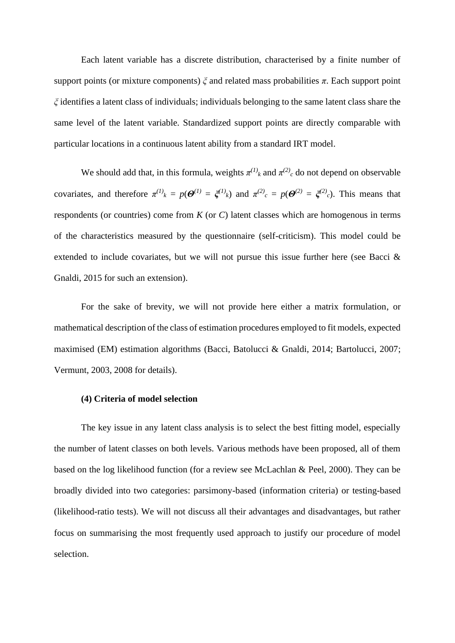Each latent variable has a discrete distribution, characterised by a finite number of support points (or mixture components) *ξ* and related mass probabilities *π*. Each support point *ξ* identifies a latent class of individuals; individuals belonging to the same latent class share the same level of the latent variable. Standardized support points are directly comparable with particular locations in a continuous latent ability from a standard IRT model.

We should add that, in this formula, weights  $\pi^{(1)}_k$  and  $\pi^{(2)}_c$  do not depend on observable covariates, and therefore  $\pi^{(1)}_k = p(\mathcal{O}^{(1)} = \xi^{(1)}_k)$  and  $\pi^{(2)}_c = p(\mathcal{O}^{(2)} = \xi^{(2)}_c)$ . This means that respondents (or countries) come from *K* (or *C*) latent classes which are homogenous in terms of the characteristics measured by the questionnaire (self-criticism). This model could be extended to include covariates, but we will not pursue this issue further here (see Bacci & Gnaldi, 2015 for such an extension).

For the sake of brevity, we will not provide here either a matrix formulation, or mathematical description of the class of estimation procedures employed to fit models, expected maximised (EM) estimation algorithms (Bacci, Batolucci & Gnaldi, 2014; Bartolucci, 2007; Vermunt, 2003, 2008 for details).

### **(4) Criteria of model selection**

The key issue in any latent class analysis is to select the best fitting model, especially the number of latent classes on both levels. Various methods have been proposed, all of them based on the log likelihood function (for a review see McLachlan & Peel, 2000). They can be broadly divided into two categories: parsimony-based (information criteria) or testing-based (likelihood-ratio tests). We will not discuss all their advantages and disadvantages, but rather focus on summarising the most frequently used approach to justify our procedure of model selection.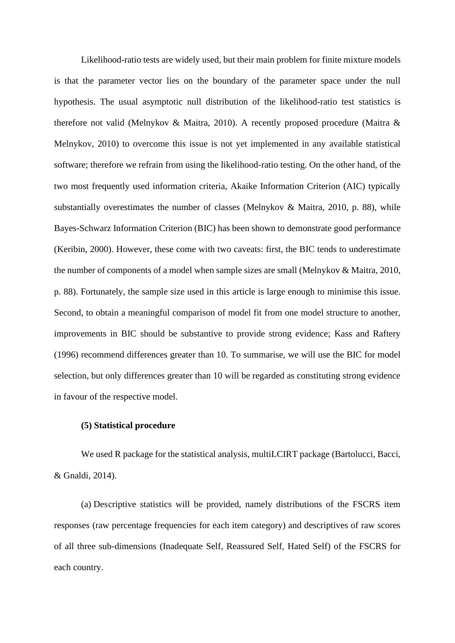Likelihood-ratio tests are widely used, but their main problem for finite mixture models is that the parameter vector lies on the boundary of the parameter space under the null hypothesis. The usual asymptotic null distribution of the likelihood-ratio test statistics is therefore not valid (Melnykov & Maitra, 2010). A recently proposed procedure (Maitra & Melnykov, 2010) to overcome this issue is not yet implemented in any available statistical software; therefore we refrain from using the likelihood-ratio testing. On the other hand, of the two most frequently used information criteria, Akaike Information Criterion (AIC) typically substantially overestimates the number of classes (Melnykov & Maitra, 2010, p. 88), while Bayes-Schwarz Information Criterion (BIC) has been shown to demonstrate good performance (Keribin, 2000). However, these come with two caveats: first, the BIC tends to underestimate the number of components of a model when sample sizes are small (Melnykov & Maitra, 2010, p. 88). Fortunately, the sample size used in this article is large enough to minimise this issue. Second, to obtain a meaningful comparison of model fit from one model structure to another, improvements in BIC should be substantive to provide strong evidence; Kass and Raftery (1996) recommend differences greater than 10. To summarise, we will use the BIC for model selection, but only differences greater than 10 will be regarded as constituting strong evidence in favour of the respective model.

#### **(5) Statistical procedure**

We used R package for the statistical analysis, multiLCIRT package (Bartolucci, Bacci, & Gnaldi, 2014).

(a) Descriptive statistics will be provided, namely distributions of the FSCRS item responses (raw percentage frequencies for each item category) and descriptives of raw scores of all three sub-dimensions (Inadequate Self, Reassured Self, Hated Self) of the FSCRS for each country.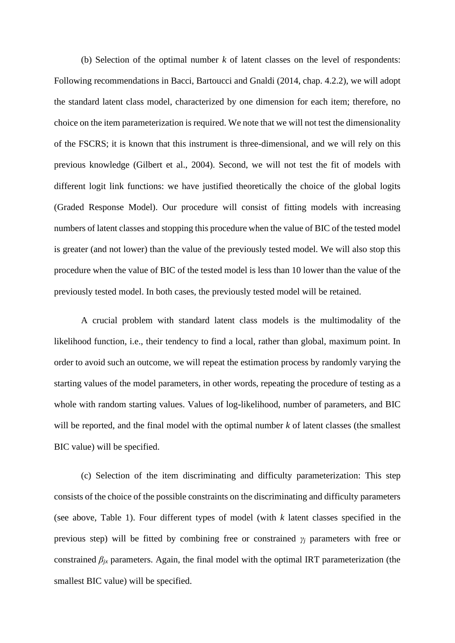(b) Selection of the optimal number *k* of latent classes on the level of respondents: Following recommendations in Bacci, Bartoucci and Gnaldi (2014, chap. 4.2.2), we will adopt the standard latent class model, characterized by one dimension for each item; therefore, no choice on the item parameterization is required. We note that we will not test the dimensionality of the FSCRS; it is known that this instrument is three-dimensional, and we will rely on this previous knowledge (Gilbert et al., 2004). Second, we will not test the fit of models with different logit link functions: we have justified theoretically the choice of the global logits (Graded Response Model). Our procedure will consist of fitting models with increasing numbers of latent classes and stopping this procedure when the value of BIC of the tested model is greater (and not lower) than the value of the previously tested model. We will also stop this procedure when the value of BIC of the tested model is less than 10 lower than the value of the previously tested model. In both cases, the previously tested model will be retained.

A crucial problem with standard latent class models is the multimodality of the likelihood function, i.e., their tendency to find a local, rather than global, maximum point. In order to avoid such an outcome, we will repeat the estimation process by randomly varying the starting values of the model parameters, in other words, repeating the procedure of testing as a whole with random starting values. Values of log-likelihood, number of parameters, and BIC will be reported, and the final model with the optimal number *k* of latent classes (the smallest BIC value) will be specified.

(c) Selection of the item discriminating and difficulty parameterization: This step consists of the choice of the possible constraints on the discriminating and difficulty parameters (see above, Table 1). Four different types of model (with *k* latent classes specified in the previous step) will be fitted by combining free or constrained *γ<sup>j</sup>* parameters with free or constrained  $\beta_{ix}$  parameters. Again, the final model with the optimal IRT parameterization (the smallest BIC value) will be specified.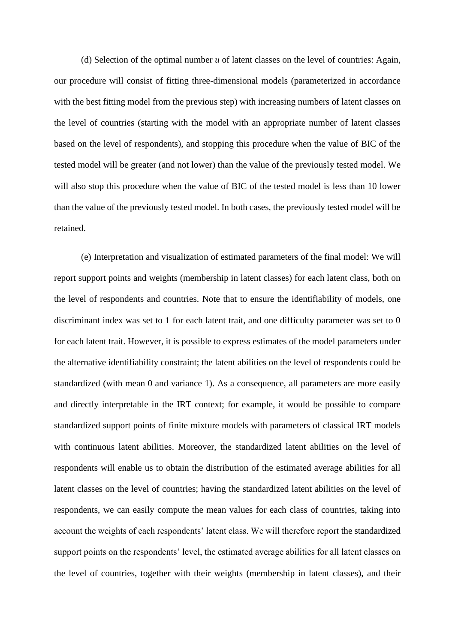(d) Selection of the optimal number *u* of latent classes on the level of countries: Again, our procedure will consist of fitting three-dimensional models (parameterized in accordance with the best fitting model from the previous step) with increasing numbers of latent classes on the level of countries (starting with the model with an appropriate number of latent classes based on the level of respondents), and stopping this procedure when the value of BIC of the tested model will be greater (and not lower) than the value of the previously tested model. We will also stop this procedure when the value of BIC of the tested model is less than 10 lower than the value of the previously tested model. In both cases, the previously tested model will be retained.

(e) Interpretation and visualization of estimated parameters of the final model: We will report support points and weights (membership in latent classes) for each latent class, both on the level of respondents and countries. Note that to ensure the identifiability of models, one discriminant index was set to 1 for each latent trait, and one difficulty parameter was set to 0 for each latent trait. However, it is possible to express estimates of the model parameters under the alternative identifiability constraint; the latent abilities on the level of respondents could be standardized (with mean 0 and variance 1). As a consequence, all parameters are more easily and directly interpretable in the IRT context; for example, it would be possible to compare standardized support points of finite mixture models with parameters of classical IRT models with continuous latent abilities. Moreover, the standardized latent abilities on the level of respondents will enable us to obtain the distribution of the estimated average abilities for all latent classes on the level of countries; having the standardized latent abilities on the level of respondents, we can easily compute the mean values for each class of countries, taking into account the weights of each respondents' latent class. We will therefore report the standardized support points on the respondents' level, the estimated average abilities for all latent classes on the level of countries, together with their weights (membership in latent classes), and their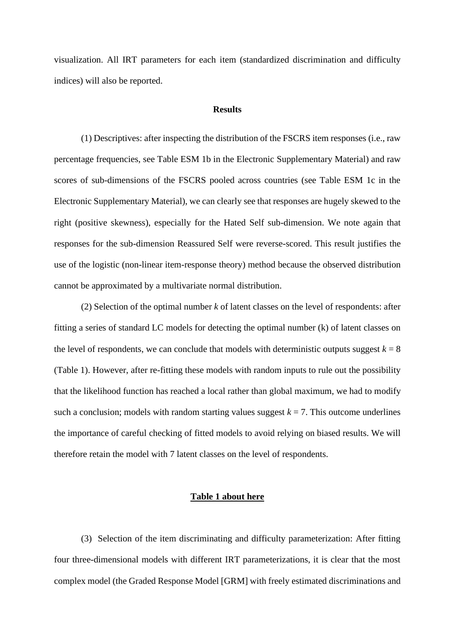visualization. All IRT parameters for each item (standardized discrimination and difficulty indices) will also be reported.

#### **Results**

(1) Descriptives: after inspecting the distribution of the FSCRS item responses (i.e., raw percentage frequencies, see Table ESM 1b in the Electronic Supplementary Material) and raw scores of sub-dimensions of the FSCRS pooled across countries (see Table ESM 1c in the Electronic Supplementary Material), we can clearly see that responses are hugely skewed to the right (positive skewness), especially for the Hated Self sub-dimension. We note again that responses for the sub-dimension Reassured Self were reverse-scored. This result justifies the use of the logistic (non-linear item-response theory) method because the observed distribution cannot be approximated by a multivariate normal distribution.

(2) Selection of the optimal number *k* of latent classes on the level of respondents: after fitting a series of standard LC models for detecting the optimal number (k) of latent classes on the level of respondents, we can conclude that models with deterministic outputs suggest  $k = 8$ (Table 1). However, after re-fitting these models with random inputs to rule out the possibility that the likelihood function has reached a local rather than global maximum, we had to modify such a conclusion; models with random starting values suggest  $k = 7$ . This outcome underlines the importance of careful checking of fitted models to avoid relying on biased results. We will therefore retain the model with 7 latent classes on the level of respondents.

## **Table 1 about here**

(3) Selection of the item discriminating and difficulty parameterization: After fitting four three-dimensional models with different IRT parameterizations, it is clear that the most complex model (the Graded Response Model [GRM] with freely estimated discriminations and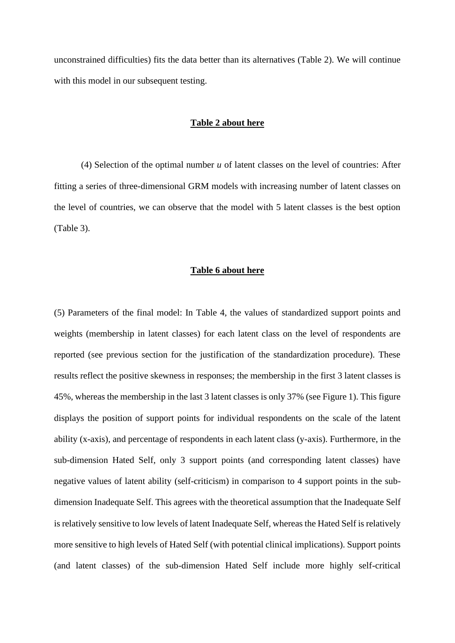unconstrained difficulties) fits the data better than its alternatives (Table 2). We will continue with this model in our subsequent testing.

## **Table 2 about here**

(4) Selection of the optimal number *u* of latent classes on the level of countries: After fitting a series of three-dimensional GRM models with increasing number of latent classes on the level of countries, we can observe that the model with 5 latent classes is the best option (Table 3).

### **Table 6 about here**

(5) Parameters of the final model: In Table 4, the values of standardized support points and weights (membership in latent classes) for each latent class on the level of respondents are reported (see previous section for the justification of the standardization procedure). These results reflect the positive skewness in responses; the membership in the first 3 latent classes is 45%, whereas the membership in the last 3 latent classes is only 37% (see Figure 1). This figure displays the position of support points for individual respondents on the scale of the latent ability (x-axis), and percentage of respondents in each latent class (y-axis). Furthermore, in the sub-dimension Hated Self, only 3 support points (and corresponding latent classes) have negative values of latent ability (self-criticism) in comparison to 4 support points in the subdimension Inadequate Self. This agrees with the theoretical assumption that the Inadequate Self is relatively sensitive to low levels of latent Inadequate Self, whereas the Hated Self is relatively more sensitive to high levels of Hated Self (with potential clinical implications). Support points (and latent classes) of the sub-dimension Hated Self include more highly self-critical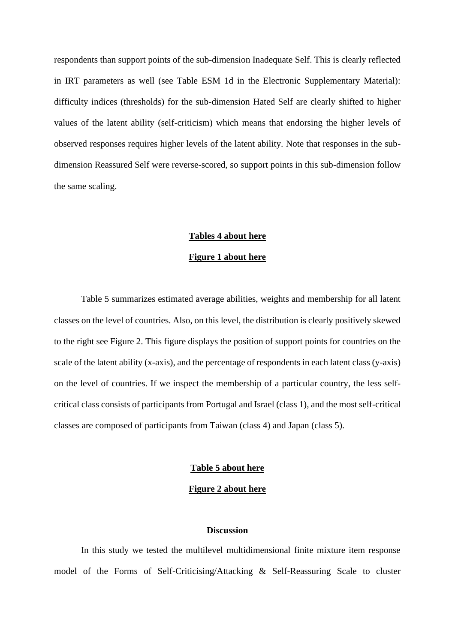respondents than support points of the sub-dimension Inadequate Self. This is clearly reflected in IRT parameters as well (see Table ESM 1d in the Electronic Supplementary Material): difficulty indices (thresholds) for the sub-dimension Hated Self are clearly shifted to higher values of the latent ability (self-criticism) which means that endorsing the higher levels of observed responses requires higher levels of the latent ability. Note that responses in the subdimension Reassured Self were reverse-scored, so support points in this sub-dimension follow the same scaling.

#### **Tables 4 about here**

## **Figure 1 about here**

Table 5 summarizes estimated average abilities, weights and membership for all latent classes on the level of countries. Also, on this level, the distribution is clearly positively skewed to the right see Figure 2. This figure displays the position of support points for countries on the scale of the latent ability (x-axis), and the percentage of respondents in each latent class (y-axis) on the level of countries. If we inspect the membership of a particular country, the less selfcritical class consists of participants from Portugal and Israel (class 1), and the most self-critical classes are composed of participants from Taiwan (class 4) and Japan (class 5).

## **Table 5 about here**

**Figure 2 about here**

## **Discussion**

In this study we tested the multilevel multidimensional finite mixture item response model of the Forms of Self-Criticising/Attacking & Self-Reassuring Scale to cluster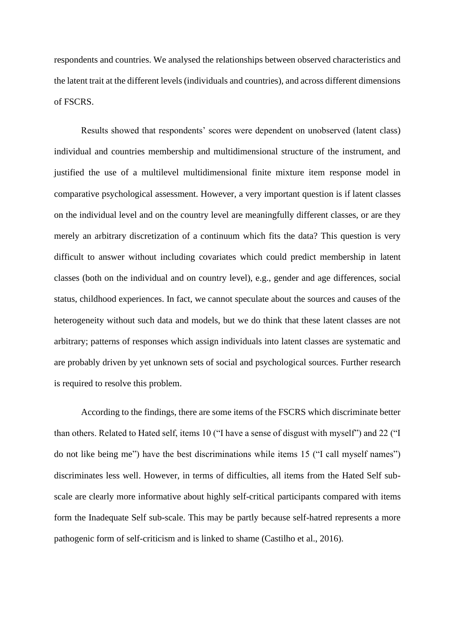respondents and countries. We analysed the relationships between observed characteristics and the latent trait at the different levels (individuals and countries), and across different dimensions of FSCRS.

Results showed that respondents' scores were dependent on unobserved (latent class) individual and countries membership and multidimensional structure of the instrument, and justified the use of a multilevel multidimensional finite mixture item response model in comparative psychological assessment. However, a very important question is if latent classes on the individual level and on the country level are meaningfully different classes, or are they merely an arbitrary discretization of a continuum which fits the data? This question is very difficult to answer without including covariates which could predict membership in latent classes (both on the individual and on country level), e.g., gender and age differences, social status, childhood experiences. In fact, we cannot speculate about the sources and causes of the heterogeneity without such data and models, but we do think that these latent classes are not arbitrary; patterns of responses which assign individuals into latent classes are systematic and are probably driven by yet unknown sets of social and psychological sources. Further research is required to resolve this problem.

According to the findings, there are some items of the FSCRS which discriminate better than others. Related to Hated self, items 10 ("I have a sense of disgust with myself") and 22 ("I do not like being me") have the best discriminations while items 15 ("I call myself names") discriminates less well. However, in terms of difficulties, all items from the Hated Self subscale are clearly more informative about highly self-critical participants compared with items form the Inadequate Self sub-scale. This may be partly because self-hatred represents a more pathogenic form of self-criticism and is linked to shame (Castilho et al., 2016).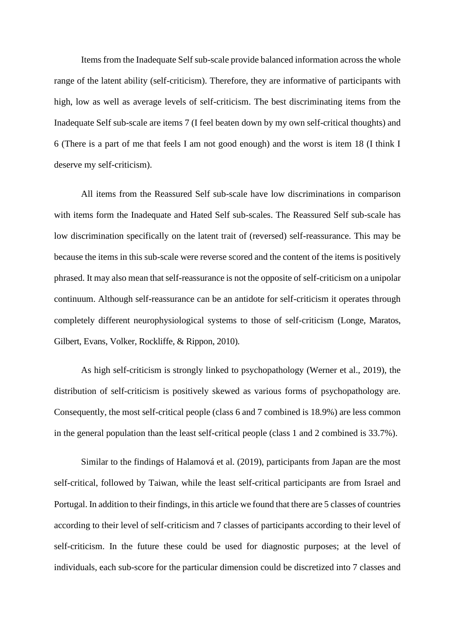Items from the Inadequate Self sub-scale provide balanced information across the whole range of the latent ability (self-criticism). Therefore, they are informative of participants with high, low as well as average levels of self-criticism. The best discriminating items from the Inadequate Self sub-scale are items 7 (I feel beaten down by my own self-critical thoughts) and 6 (There is a part of me that feels I am not good enough) and the worst is item 18 (I think I deserve my self-criticism).

All items from the Reassured Self sub-scale have low discriminations in comparison with items form the Inadequate and Hated Self sub-scales. The Reassured Self sub-scale has low discrimination specifically on the latent trait of (reversed) self-reassurance. This may be because the items in this sub-scale were reverse scored and the content of the items is positively phrased. It may also mean that self-reassurance is not the opposite of self-criticism on a unipolar continuum. Although self-reassurance can be an antidote for self-criticism it operates through completely different neurophysiological systems to those of self-criticism (Longe, Maratos, Gilbert, Evans, Volker, Rockliffe, & Rippon, 2010).

As high self-criticism is strongly linked to psychopathology (Werner et al., 2019), the distribution of self-criticism is positively skewed as various forms of psychopathology are. Consequently, the most self-critical people (class 6 and 7 combined is 18.9%) are less common in the general population than the least self-critical people (class 1 and 2 combined is 33.7%).

Similar to the findings of Halamová et al. (2019), participants from Japan are the most self-critical, followed by Taiwan, while the least self-critical participants are from Israel and Portugal. In addition to their findings, in this article we found that there are 5 classes of countries according to their level of self-criticism and 7 classes of participants according to their level of self-criticism. In the future these could be used for diagnostic purposes; at the level of individuals, each sub-score for the particular dimension could be discretized into 7 classes and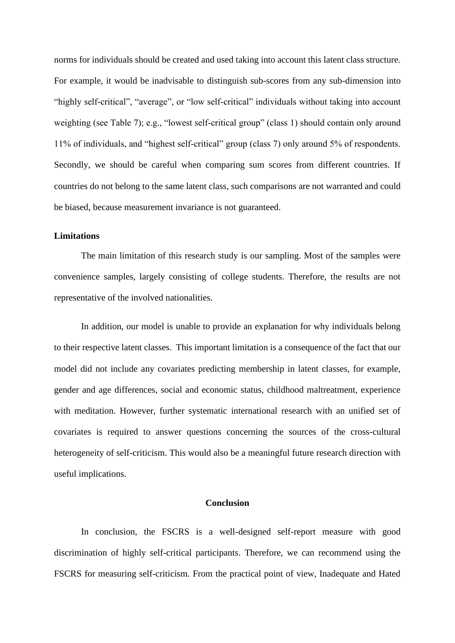norms for individuals should be created and used taking into account this latent class structure. For example, it would be inadvisable to distinguish sub-scores from any sub-dimension into "highly self-critical", "average", or "low self-critical" individuals without taking into account weighting (see Table 7); e.g., "lowest self-critical group" (class 1) should contain only around 11% of individuals, and "highest self-critical" group (class 7) only around 5% of respondents. Secondly, we should be careful when comparing sum scores from different countries. If countries do not belong to the same latent class, such comparisons are not warranted and could be biased, because measurement invariance is not guaranteed.

## **Limitations**

The main limitation of this research study is our sampling. Most of the samples were convenience samples, largely consisting of college students. Therefore, the results are not representative of the involved nationalities.

In addition, our model is unable to provide an explanation for why individuals belong to their respective latent classes. This important limitation is a consequence of the fact that our model did not include any covariates predicting membership in latent classes, for example, gender and age differences, social and economic status, childhood maltreatment, experience with meditation. However, further systematic international research with an unified set of covariates is required to answer questions concerning the sources of the cross-cultural heterogeneity of self-criticism. This would also be a meaningful future research direction with useful implications.

## **Conclusion**

In conclusion, the FSCRS is a well-designed self-report measure with good discrimination of highly self-critical participants. Therefore, we can recommend using the FSCRS for measuring self-criticism. From the practical point of view, Inadequate and Hated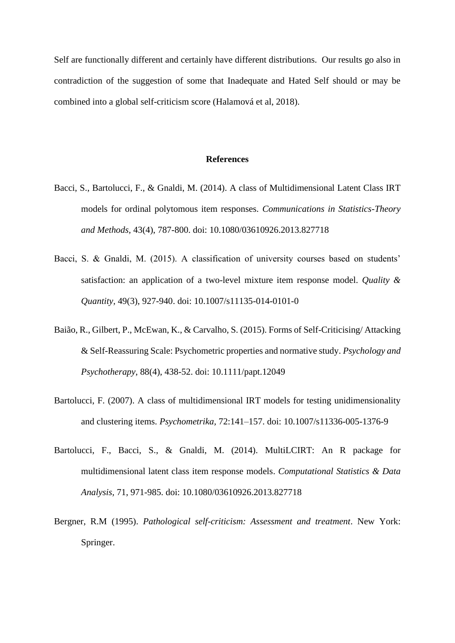Self are functionally different and certainly have different distributions. Our results go also in contradiction of the suggestion of some that Inadequate and Hated Self should or may be combined into a global self-criticism score (Halamová et al, 2018).

#### **References**

- Bacci, S., Bartolucci, F., & Gnaldi, M. (2014). A class of Multidimensional Latent Class IRT models for ordinal polytomous item responses. *Communications in Statistics-Theory and Methods,* 43(4), 787-800. doi: 10.1080/03610926.2013.827718
- Bacci, S. & Gnaldi, M. (2015). A classification of university courses based on students' satisfaction: an application of a two-level mixture item response model. *Quality & Quantity,* 49(3), 927-940. doi: 10.1007/s11135-014-0101-0
- [Baião, R.](https://www.ncbi.nlm.nih.gov/pubmed/?term=Bai%C3%A3o%20R%5BAuthor%5D&cauthor=true&cauthor_uid=25492845)[, Gilbert, P.](https://www.ncbi.nlm.nih.gov/pubmed/?term=Gilbert%20P%5BAuthor%5D&cauthor=true&cauthor_uid=25492845), [McEwan, K.](https://www.ncbi.nlm.nih.gov/pubmed/?term=McEwan%20K%5BAuthor%5D&cauthor=true&cauthor_uid=25492845), & [Carvalho,](https://www.ncbi.nlm.nih.gov/pubmed/?term=Carvalho%20S%5BAuthor%5D&cauthor=true&cauthor_uid=25492845) S. (2015). Forms of Self-Criticising/ Attacking & Self-Reassuring Scale: Psychometric properties and normative study. *[Psychology and](https://www.ncbi.nlm.nih.gov/pubmed/25492845)  [Psychotherapy](https://www.ncbi.nlm.nih.gov/pubmed/25492845)*, 88(4), 438-52. doi: 10.1111/papt.12049
- Bartolucci, F. (2007). A class of multidimensional IRT models for testing unidimensionality and clustering items. *Psychometrika,* 72:141–157. doi: 10.1007/s11336-005-1376-9
- Bartolucci, F., Bacci, S., & Gnaldi, M. (2014). MultiLCIRT: An R package for multidimensional latent class item response models. *Computational Statistics & Data Analysis,* 71, 971-985. doi: 10.1080/03610926.2013.827718
- Bergner, R.M (1995). *Pathological self-criticism: Assessment and treatment*. New York: Springer.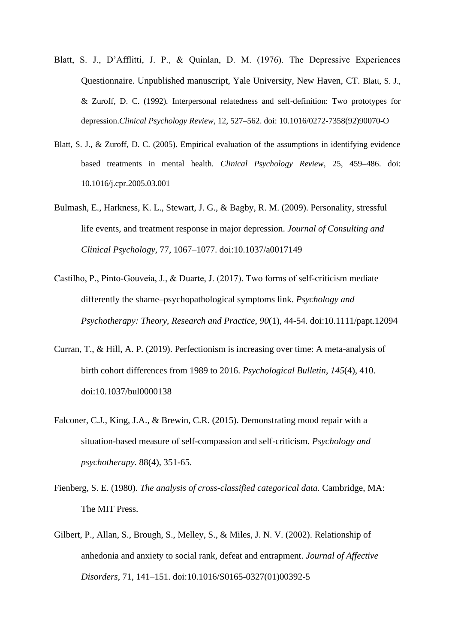- Blatt, S. J., D'Afflitti, J. P., & Quinlan, D. M. (1976). The Depressive Experiences Questionnaire. Unpublished manuscript, Yale University, New Haven, CT. Blatt*,* S. J., & Zuroff*,* D. C. (1992)*.* Interpersonal relatedness and self-definition: Two prototypes for depression.*Clinical Psychology Review*, 12, 527–562. doi: 10.1016/0272-7358(92)90070-O
- Blatt, S. J., & Zuroff, D. C. (2005). Empirical evaluation of the assumptions in identifying evidence based treatments in mental health. *Clinical Psychology Review*, 25, 459–486. doi: [10.1016/j.cpr.2005.03.001](https://doi.org/10.1016/j.cpr.2005.03.001)
- Bulmash, E., Harkness, K. L., Stewart, J. G., & Bagby, R. M. (2009). Personality, stressful life events, and treatment response in major depression. *Journal of Consulting and Clinical Psychology,* 77, 1067–1077. doi:10.1037/a0017149
- Castilho, P., Pinto‐Gouveia, J., & Duarte, J. (2017). Two forms of self-criticism mediate differently the shame–psychopathological symptoms link. *Psychology and Psychotherapy: Theory, Research and Practice*, *90*(1), 44-54. doi:10.1111/papt.12094
- Curran, T., & Hill, A. P. (2019). Perfectionism is increasing over time: A meta-analysis of birth cohort differences from 1989 to 2016. *Psychological Bulletin*, *145*(4), 410. doi:10.1037/bul0000138
- Falconer, C.J., King, J.A., & Brewin, C.R. (2015). [Demonstrating mood repair with a](http://dx.doi.org/10.1111/papt.12056)  [situation-based measure of self-compassion and self-criticism.](http://dx.doi.org/10.1111/papt.12056) *Psychology and psychotherapy*. 88(4), 351-65.
- Fienberg, S. E. (1980). *The analysis of cross-classified categorical data.* Cambridge, MA: The MIT Press.
- Gilbert, P., Allan, S., Brough, S., Melley, S., & Miles, J. N. V. (2002). Relationship of anhedonia and anxiety to social rank, defeat and entrapment. *Journal of Affective Disorders*, 71, 141–151. doi:10.1016/S0165-0327(01)00392-5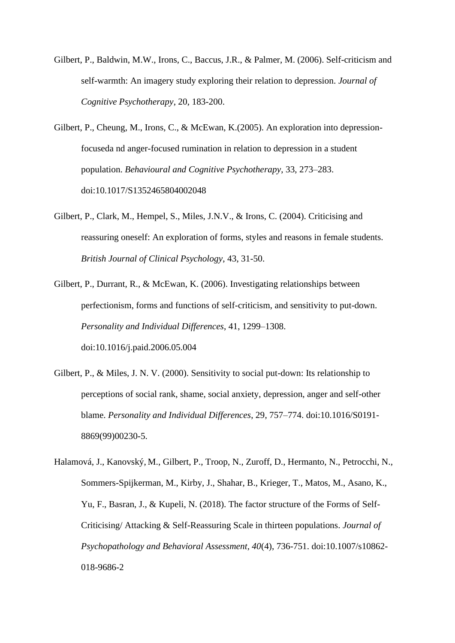- Gilbert, P., Baldwin, M.W., Irons, C., Baccus, J.R., & Palmer, M. (2006). Self-criticism and self-warmth: An imagery study exploring their relation to depression. *Journal of Cognitive Psychotherapy*, 20, 183-200.
- Gilbert, P., Cheung, M., Irons, C., & McEwan, K.(2005). An exploration into depressionfocuseda nd anger-focused rumination in relation to depression in a student population. *Behavioural and Cognitive Psychotherapy*, 33, 273–283. doi:10.1017/S1352465804002048
- Gilbert, P., Clark, M., Hempel, S., Miles, J.N.V., & Irons, C. (2004). Criticising and reassuring oneself: An exploration of forms, styles and reasons in female students. *British Journal of Clinical Psychology*, 43, 31-50.
- Gilbert, P., Durrant, R., & McEwan, K. (2006). Investigating relationships between perfectionism, forms and functions of self-criticism, and sensitivity to put-down. *Personality and Individual Differences*, 41, 1299–1308. doi:10.1016/j.paid.2006.05.004
- Gilbert, P., & Miles, J. N. V. (2000). Sensitivity to social put-down: Its relationship to perceptions of social rank, shame, social anxiety, depression, anger and self-other blame. *Personality and Individual Differences*, 29, 757–774. doi:10.1016/S0191- 8869(99)00230-5.
- Halamová, J., Kanovský, M., Gilbert, P., Troop, N., Zuroff, D., Hermanto, N., Petrocchi, N., Sommers-Spijkerman, M., Kirby, J., Shahar, B., Krieger, T., Matos, M., Asano, K., Yu, F., Basran, J., & Kupeli, N. (2018). The factor structure of the Forms of Self-Criticising/ Attacking & Self-Reassuring Scale in thirteen populations. *Journal of Psychopathology and Behavioral Assessment, 40*(4), 736-751. doi:10.1007/s10862- 018-9686-2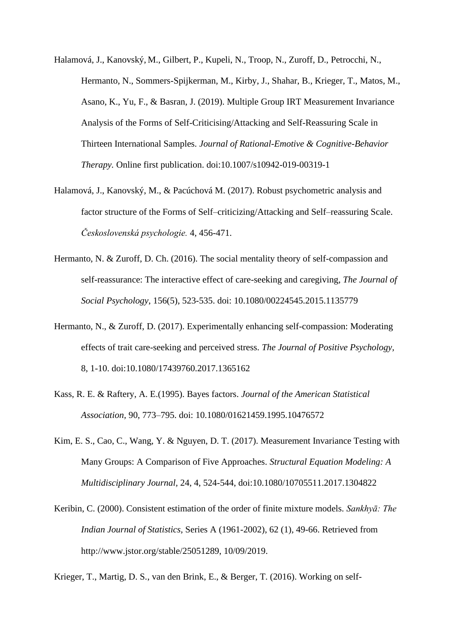- Halamová, J., Kanovský, M., Gilbert, P., Kupeli, N., Troop, N., Zuroff, D., Petrocchi, N., Hermanto, N., Sommers-Spijkerman, M., Kirby, J., Shahar, B., Krieger, T., Matos, M., Asano, K., Yu, F., & Basran, J. (2019). Multiple Group IRT Measurement Invariance Analysis of the Forms of Self-Criticising/Attacking and Self-Reassuring Scale in Thirteen International Samples. *Journal of Rational-Emotive & Cognitive-Behavior Therapy.* Online first publication. doi:10.1007/s10942-019-00319-1
- Halamová, J., Kanovský, M., & Pacúchová M. (2017). Robust psychometric analysis and factor structure of the Forms of Self–criticizing/Attacking and Self–reassuring Scale. *Československá psychologie.* 4, 456-471.
- Hermanto, N. & Zuroff, D. Ch. (2016). The social mentality theory of self-compassion and self-reassurance: The interactive effect of care-seeking and caregiving, *The Journal of Social Psychology*, 156(5), 523-535. doi: 10.1080/00224545.2015.1135779
- Hermanto, N., & Zuroff, D. (2017). Experimentally enhancing self-compassion: Moderating effects of trait care-seeking and perceived stress. *The Journal of Positive Psychology,* 8, 1-10. [doi:10.1080/17439760.2017.1365162](http://dx.doi.org/10.1080/17439760.2017.1365162)
- Kass, R. E. & Raftery, A. E.(1995). Bayes factors. *Journal of the American Statistical Association,* 90, 773–795. doi: 10.1080/01621459.1995.10476572
- Kim, E. S., Cao, C., Wang, Y. & Nguyen, D. T. (2017). Measurement Invariance Testing with Many Groups: A Comparison of Five Approaches. *Structural Equation Modeling: A Multidisciplinary Journal,* 24, 4, 524-544, doi:10.1080/10705511.2017.1304822
- Keribin, C. (2000). Consistent estimation of the order of finite mixture models. *Sankhyā: The Indian Journal of Statistics,* Series A (1961-2002), 62 (1)*,* 49-66. Retrieved from http://www.jstor.org/stable/25051289, 10/09/2019.

Krieger, T., Martig, D. S., van den Brink, E., & Berger, T. (2016). Working on self-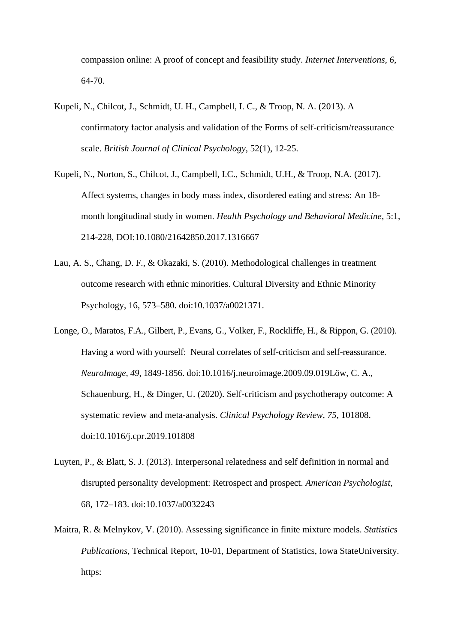compassion online: A proof of concept and feasibility study. *Internet Interventions, 6*, 64-70.

- Kupeli, N., Chilcot, J., Schmidt, U. H., Campbell, I. C., & Troop, N. A. (2013). A confirmatory factor analysis and validation of the Forms of self-criticism/reassurance scale. *British Journal of Clinical Psychology*, 52(1), 12-25.
- Kupeli, N., Norton, S., Chilcot, J., Campbell, I.C., Schmidt, U.H., & Troop, N.A. (2017). Affect systems, changes in body mass index, disordered eating and stress: An 18 month longitudinal study in women. *Health Psychology and Behavioral Medicine*, 5:1, 214-228, DOI:10.1080/21642850.2017.1316667
- Lau, A. S., Chang, D. F., & Okazaki, S. (2010). Methodological challenges in treatment outcome research with ethnic minorities. Cultural Diversity and Ethnic Minority Psychology, 16, 573–580. doi:10.1037/a0021371.
- Longe, O., Maratos, F.A., Gilbert, P., Evans, G., Volker, F., Rockliffe, H., & Rippon, G. (2010). Having a word with yourself: Neural correlates of self-criticism and self-reassurance. *NeuroImage, 49*, 1849-1856. doi:10.1016/j.neuroimage.2009.09.019Löw, C. A., Schauenburg, H., & Dinger, U. (2020). Self-criticism and psychotherapy outcome: A systematic review and meta-analysis. *Clinical Psychology Review*, *75*, 101808. doi:10.1016/j.cpr.2019.101808
- Luyten, P., & Blatt, S. J. (2013). Interpersonal relatedness and self definition in normal and disrupted personality development: Retrospect and prospect. *American Psychologist*, 68, 172–183. doi:10.1037/a0032243
- Maitra, R. & Melnykov, V. (2010). Assessing significance in finite mixture models. *Statistics Publications,* Technical Report, 10-01, Department of Statistics, Iowa StateUniversity. https: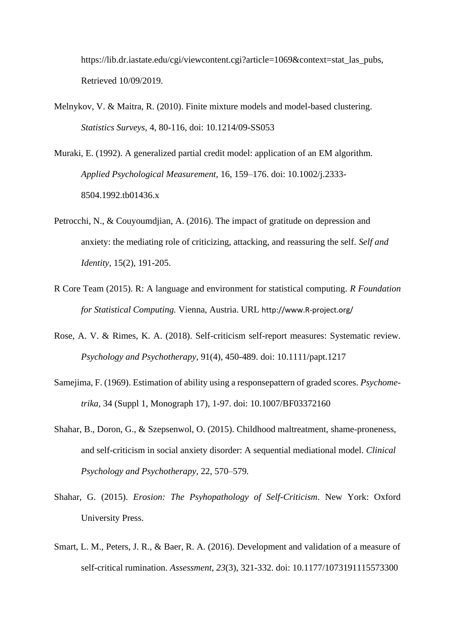https://lib.dr.iastate.edu/cgi/viewcontent.cgi?article=1069&context=stat\_las\_pubs, Retrieved 10/09/2019.

- Melnykov, V. & Maitra, R. (2010). Finite mixture models and model-based clustering. *Statistics Surveys,* 4, 80-116, doi: 10.1214/09-SS053
- Muraki, E. (1992). A generalized partial credit model: application of an EM algorithm. *Applied Psychological Measurement,* 16, 159–176. doi: 10.1002/j.2333- 8504.1992.tb01436.x
- [Petrocchi,](http://guilfordjournals.com/author/Petrocchi%2C+Nicola) N., & [Couyoumdjian,](http://guilfordjournals.com/author/Couyoumdjian%2C+Alessandro) A. (2016). The impact of gratitude on depression and anxiety: the mediating role of criticizing, attacking, and reassuring the self. *Self and Identity,* 15(2), 191-205.
- R Core Team (2015). R: A language and environment for statistical computing. *R Foundation for Statistical Computing.* Vienna, Austria. URL http://www.R-project.org/
- Rose, A. V. & Rimes, K. A. (2018). Self-criticism self-report measures: Systematic review. *Psychology and Psychotherapy*, 91(4), 450-489. doi: 10.1111/papt.1217
- Samejima, F. (1969). Estimation of ability using a responsepattern of graded scores. *Psychometrika,* 34 (Suppl 1, Monograph 17), 1-97. doi: 10.1007/BF03372160
- Shahar, B., Doron, G., & Szepsenwol, O. (2015). Childhood maltreatment, shame-proneness, and self-criticism in social anxiety disorder: A sequential mediational model. *Clinical Psychology and Psychotherapy,* 22, 570–579*.*
- Shahar, G. (2015). *Erosion: The Psyhopathology of Self-Criticism*. New York: Oxford University Press.
- Smart, L. M., Peters, J. R., & Baer, R. A. (2016). Development and validation of a measure of self-critical rumination. *Assessment*, *23*(3), 321-332. doi: 10.1177/1073191115573300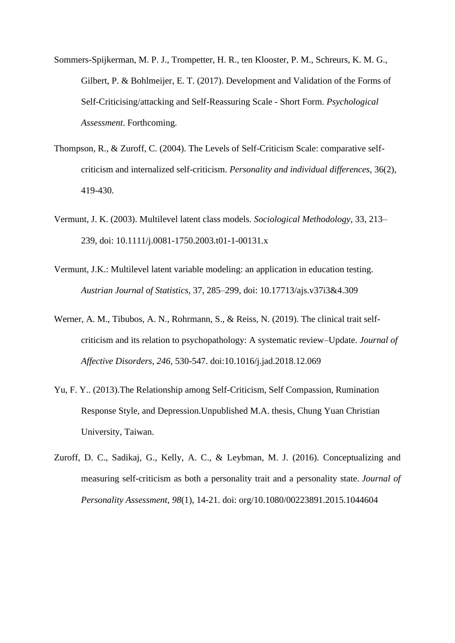- Sommers-Spijkerman, M. P. J., Trompetter, H. R., ten Klooster, P. M., Schreurs, K. M. G., Gilbert, P. & Bohlmeijer, E. T. (2017). Development and Validation of the Forms of Self-Criticising/attacking and Self-Reassuring Scale - Short Form. *Psychological Assessment*. Forthcoming.
- Thompson, R., & Zuroff, C. (2004). The Levels of Self-Criticism Scale: comparative selfcriticism and internalized self-criticism. *Personality and individual differences*, 36(2), 419-430.
- Vermunt, J. K. (2003). Multilevel latent class models. *Sociological Methodology,* 33, 213– 239, doi: 10.1111/j.0081-1750.2003.t01-1-00131.x
- Vermunt, J.K.: Multilevel latent variable modeling: an application in education testing. *Austrian Journal of Statistics,* 37, 285–299, doi: 10.17713/ajs.v37i3&4.309
- Werner, A. M., Tibubos, A. N., Rohrmann, S., & Reiss, N. (2019). The clinical trait selfcriticism and its relation to psychopathology: A systematic review–Update. *Journal of Affective Disorders*, *246*, 530-547. doi:10.1016/j.jad.2018.12.069
- Yu, F. Y.. (2013).The Relationship among Self-Criticism, Self Compassion, Rumination Response Style, and Depression.Unpublished M.A. thesis, Chung Yuan Christian University, Taiwan.
- Zuroff, D. C., Sadikaj, G., Kelly, A. C., & Leybman, M. J. (2016). Conceptualizing and measuring self-criticism as both a personality trait and a personality state. *Journal of Personality Assessment*, *98*(1), 14-21. [doi: org/10.1080/00223891.2015.1044604](http://dx.doi.org/10.1080/00223891.2015.1044604)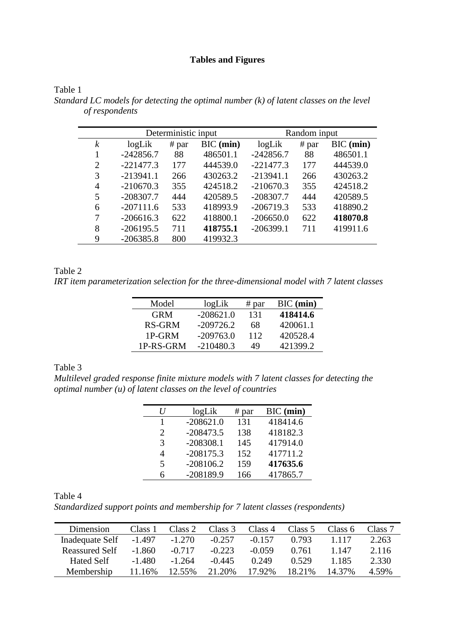# **Tables and Figures**

|                  |             | Deterministic input |             |             | Random input |             |
|------------------|-------------|---------------------|-------------|-------------|--------------|-------------|
| $\boldsymbol{k}$ | logLik      | # par               | $BIC$ (min) | logLik      | # par        | $BIC$ (min) |
|                  | $-242856.7$ | 88                  | 486501.1    | $-242856.7$ | 88           | 486501.1    |
| 2                | $-221477.3$ | 177                 | 444539.0    | $-221477.3$ | 177          | 444539.0    |
| 3                | $-213941.1$ | 266                 | 430263.2    | $-213941.1$ | 266          | 430263.2    |
| 4                | $-210670.3$ | 355                 | 424518.2    | $-210670.3$ | 355          | 424518.2    |
| 5                | $-208307.7$ | 444                 | 420589.5    | $-208307.7$ | 444          | 420589.5    |
| 6                | $-207111.6$ | 533                 | 418993.9    | $-206719.3$ | 533          | 418890.2    |
| 7                | $-206616.3$ | 622                 | 418800.1    | $-206650.0$ | 622          | 418070.8    |
| 8                | $-206195.5$ | 711                 | 418755.1    | $-206399.1$ | 711          | 419911.6    |
| 9                | $-206385.8$ | 800                 | 419932.3    |             |              |             |

*Standard LC models for detecting the optimal number (k) of latent classes on the level of respondents*

## Table 2

Table 1

*IRT item parameterization selection for the three-dimensional model with 7 latent classes*

| Model      | logLik      | # par | $BIC$ (min) |
|------------|-------------|-------|-------------|
| <b>GRM</b> | $-208621.0$ | 131   | 418414.6    |
| RS-GRM     | $-209726.2$ | 68    | 420061.1    |
| 1P-GRM     | $-209763.0$ | 112   | 420528.4    |
| 1P-RS-GRM  | $-210480.3$ | 49    | 421399.2    |

## Table 3

*Multilevel graded response finite mixture models with 7 latent classes for detecting the optimal number (u) of latent classes on the level of countries*

| logLik      | # par | $BIC$ (min) |
|-------------|-------|-------------|
| $-208621.0$ | 131   | 418414.6    |
| $-208473.5$ | 138   | 418182.3    |
| $-208308.1$ | 145   | 417914.0    |
| $-208175.3$ | 152   | 417711.2    |
| $-208106.2$ | 159   | 417635.6    |
| $-208189.9$ | 166   | 417865.7    |
|             |       |             |

Table 4

*Standardized support points and membership for 7 latent classes (respondents)*

| Dimension             | Class 1  | Class 2  | Class 3  | Class 4  | Class 5 | Class 6 | Class 7 |
|-----------------------|----------|----------|----------|----------|---------|---------|---------|
| Inadequate Self       | $-1.497$ | $-1.270$ | $-0.257$ | $-0.157$ | 0.793   | 1 1 1 7 | 2.263   |
| <b>Reassured Self</b> | $-1.860$ | $-0.717$ | $-0.223$ | $-0.059$ | 0.761   | 1.147   | 2.116   |
| <b>Hated Self</b>     | $-1.480$ | $-1.264$ | $-0.445$ | 0.249    | 0.529   | 1.185   | 2.330   |
| Membership            | 11.16%   | 12.55%   | 21.20%   | 17 92%   | 18.21%  | 14.37%  | 4.59%   |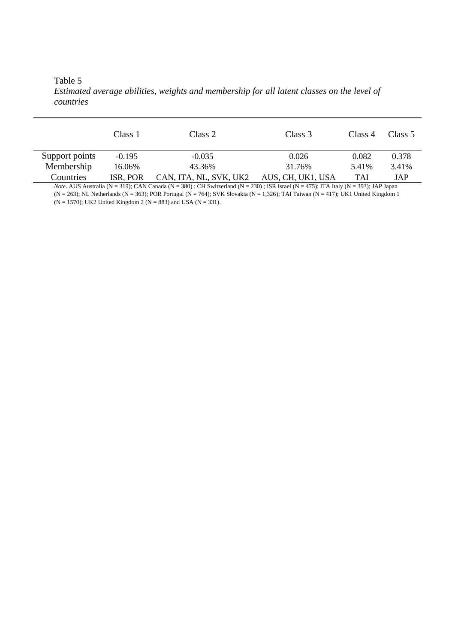Table 5 *Estimated average abilities, weights and membership for all latent classes on the level of countries*

|                | Class 1  | Class 2                | Class 3           | Class 4    | Class 5 |
|----------------|----------|------------------------|-------------------|------------|---------|
| Support points | $-0.195$ | $-0.035$               | 0.026             | 0.082      | 0.378   |
| Membership     | 16.06%   | 43.36%                 | 31.76%            | 5.41%      | 3.41%   |
| Countries      | ISR, POR | CAN, ITA, NL, SVK, UK2 | AUS, CH, UK1, USA | <b>TAI</b> | JAP     |

*Note.* AUS Australia (N = 319); CAN Canada (N = 380) ; CH Switzerland (N = 230) ; ISR Israel (N = 475); ITA Italy (N = 393); JAP Japan  $(N = 263)$ ; NL Netherlands (N = 363); POR Portugal (N = 764); SVK Slovakia (N = 1,326); TAI Taiwan (N = 417); UK1 United Kingdom 1 (N = 1570); UK2 United Kingdom 2 (N = 883) and USA (N = 331).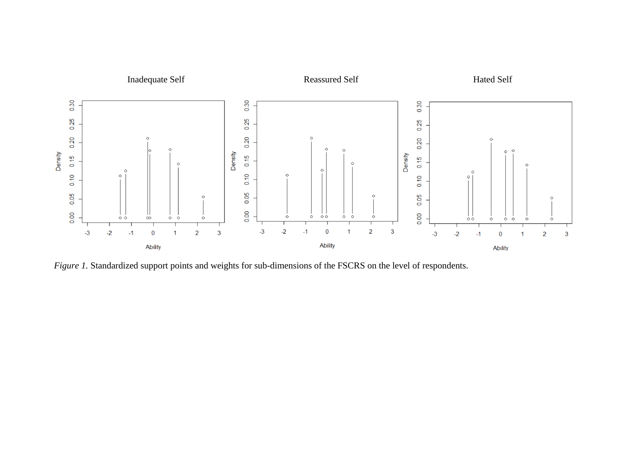

*Figure 1.* Standardized support points and weights for sub-dimensions of the FSCRS on the level of respondents.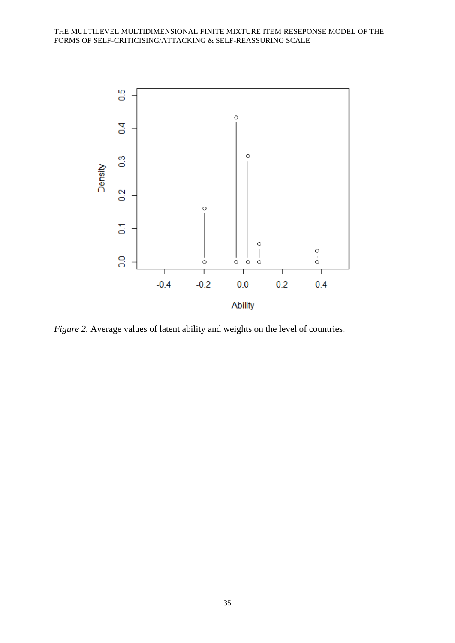

*Figure 2.* Average values of latent ability and weights on the level of countries.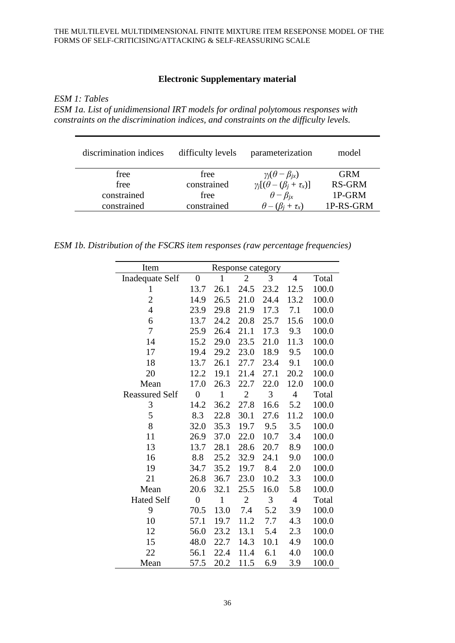# **Electronic Supplementary material**

*ESM 1: Tables*

*ESM 1a. List of unidimensional IRT models for ordinal polytomous responses with constraints on the discrimination indices, and constraints on the difficulty levels.*

| discrimination indices | difficulty levels | parameterization                          | model         |
|------------------------|-------------------|-------------------------------------------|---------------|
| free                   | free              | $\gamma_i(\theta-\beta_{ix})$             | <b>GRM</b>    |
| free                   | constrained       | $\gamma_i[(\theta - (\beta_i + \tau_x))]$ | <b>RS-GRM</b> |
| constrained            | free              | $\theta - \beta_{ix}$                     | 1P-GRM        |
| constrained            | constrained       | $\theta - (\beta_i + \tau_x)$             | 1P-RS-GRM     |

*ESM 1b. Distribution of the FSCRS item responses (raw percentage frequencies)*

| Item                   |                  |              | Response category |      |                |       |
|------------------------|------------------|--------------|-------------------|------|----------------|-------|
| <b>Inadequate Self</b> | $\overline{0}$   | $\mathbf{1}$ | $\overline{2}$    | 3    | $\overline{4}$ | Total |
| 1                      | 13.7             | 26.1         | 24.5              | 23.2 | 12.5           | 100.0 |
| $\overline{c}$         | 14.9             | 26.5         | 21.0              | 24.4 | 13.2           | 100.0 |
| $\overline{4}$         | 23.9             | 29.8         | 21.9              | 17.3 | 7.1            | 100.0 |
| 6                      | 13.7             | 24.2         | 20.8              | 25.7 | 15.6           | 100.0 |
| 7                      | 25.9             | 26.4         | 21.1              | 17.3 | 9.3            | 100.0 |
| 14                     | 15.2             | 29.0         | 23.5              | 21.0 | 11.3           | 100.0 |
| 17                     | 19.4             | 29.2         | 23.0              | 18.9 | 9.5            | 100.0 |
| 18                     | 13.7             | 26.1         | 27.7              | 23.4 | 9.1            | 100.0 |
| 20                     | 12.2             | 19.1         | 21.4              | 27.1 | 20.2           | 100.0 |
| Mean                   | 17.0             | 26.3         | 22.7              | 22.0 | 12.0           | 100.0 |
| <b>Reassured Self</b>  | $\overline{0}$   | $\mathbf{1}$ | $\overline{2}$    | 3    | $\overline{4}$ | Total |
| 3                      | 14.2             | 36.2         | 27.8              | 16.6 | 5.2            | 100.0 |
| 5                      | 8.3              | 22.8         | 30.1              | 27.6 | 11.2           | 100.0 |
| 8                      | 32.0             | 35.3         | 19.7              | 9.5  | 3.5            | 100.0 |
| 11                     | 26.9             | 37.0         | 22.0              | 10.7 | 3.4            | 100.0 |
| 13                     | 13.7             | 28.1         | 28.6              | 20.7 | 8.9            | 100.0 |
| 16                     | 8.8              | 25.2         | 32.9              | 24.1 | 9.0            | 100.0 |
| 19                     | 34.7             | 35.2         | 19.7              | 8.4  | 2.0            | 100.0 |
| 21                     | 26.8             | 36.7         | 23.0              | 10.2 | 3.3            | 100.0 |
| Mean                   | 20.6             | 32.1         | 25.5              | 16.0 | 5.8            | 100.0 |
| <b>Hated Self</b>      | $\boldsymbol{0}$ | 1            | $\overline{2}$    | 3    | $\overline{4}$ | Total |
| 9                      | 70.5             | 13.0         | 7.4               | 5.2  | 3.9            | 100.0 |
| 10                     | 57.1             | 19.7         | 11.2              | 7.7  | 4.3            | 100.0 |
| 12                     | 56.0             | 23.2         | 13.1              | 5.4  | 2.3            | 100.0 |
| 15                     | 48.0             | 22.7         | 14.3              | 10.1 | 4.9            | 100.0 |
| 22                     | 56.1             | 22.4         | 11.4              | 6.1  | 4.0            | 100.0 |
| Mean                   | 57.5             | 20.2         | 11.5              | 6.9  | 3.9            | 100.0 |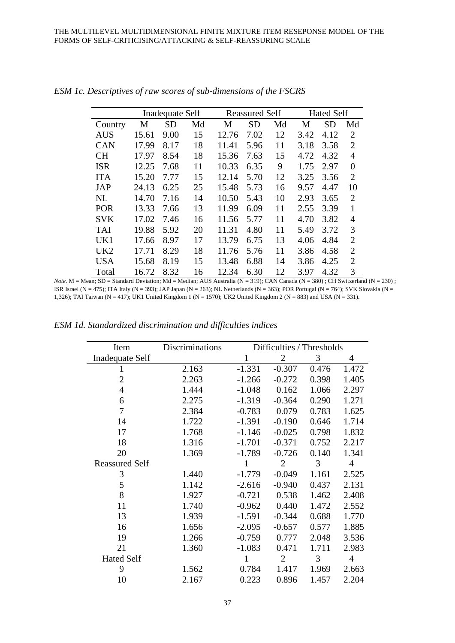|                 |       | Inadequate Self |    |       | <b>Reassured Self</b> |    |      | <b>Hated Self</b> |                |
|-----------------|-------|-----------------|----|-------|-----------------------|----|------|-------------------|----------------|
| Country         | M     | <b>SD</b>       | Md | M     | <b>SD</b>             | Md | M    | <b>SD</b>         | Md             |
| <b>AUS</b>      | 15.61 | 9.00            | 15 | 12.76 | 7.02                  | 12 | 3.42 | 4.12              | $\overline{2}$ |
| <b>CAN</b>      | 17.99 | 8.17            | 18 | 11.41 | 5.96                  | 11 | 3.18 | 3.58              | $\overline{2}$ |
| <b>CH</b>       | 17.97 | 8.54            | 18 | 15.36 | 7.63                  | 15 | 4.72 | 4.32              | $\overline{4}$ |
| <b>ISR</b>      | 12.25 | 7.68            | 11 | 10.33 | 6.35                  | 9  | 1.75 | 2.97              | $\overline{0}$ |
| <b>ITA</b>      | 15.20 | 7.77            | 15 | 12.14 | 5.70                  | 12 | 3.25 | 3.56              | $\overline{2}$ |
| <b>JAP</b>      | 24.13 | 6.25            | 25 | 15.48 | 5.73                  | 16 | 9.57 | 4.47              | 10             |
| <b>NL</b>       | 14.70 | 7.16            | 14 | 10.50 | 5.43                  | 10 | 2.93 | 3.65              | $\overline{2}$ |
| <b>POR</b>      | 13.33 | 7.66            | 13 | 11.99 | 6.09                  | 11 | 2.55 | 3.39              | 1              |
| <b>SVK</b>      | 17.02 | 7.46            | 16 | 11.56 | 5.77                  | 11 | 4.70 | 3.82              | $\overline{4}$ |
| <b>TAI</b>      | 19.88 | 5.92            | 20 | 11.31 | 4.80                  | 11 | 5.49 | 3.72              | 3              |
| UK1             | 17.66 | 8.97            | 17 | 13.79 | 6.75                  | 13 | 4.06 | 4.84              | $\overline{2}$ |
| UK <sub>2</sub> | 17.71 | 8.29            | 18 | 11.76 | 5.76                  | 11 | 3.86 | 4.58              | $\overline{2}$ |
| <b>USA</b>      | 15.68 | 8.19            | 15 | 13.48 | 6.88                  | 14 | 3.86 | 4.25              | $\overline{2}$ |
| Total           | 16.72 | 8.32            | 16 | 12.34 | 6.30                  | 12 | 3.97 | 4.32              | 3              |

*ESM 1c. Descriptives of raw scores of sub-dimensions of the FSCRS*

*Note.* M = Mean; SD = Standard Deviation; Md = Median; AUS Australia (N = 319); CAN Canada (N = 380) ; CH Switzerland (N = 230) ; ISR Israel (N = 475); ITA Italy (N = 393); JAP Japan (N = 263); NL Netherlands (N = 363); POR Portugal (N = 764); SVK Slovakia (N = 1,326); TAI Taiwan (N = 417); UK1 United Kingdom 1 (N = 1570); UK2 United Kingdom 2 (N = 883) and USA (N = 331).

*ESM 1d. Standardized discrimination and difficulties indices*

| Item                  | Discriminations |              | Difficulties / Thresholds |       |                |
|-----------------------|-----------------|--------------|---------------------------|-------|----------------|
| Inadequate Self       |                 | 1            | $\overline{2}$            | 3     | 4              |
| T                     | 2.163           | $-1.331$     | $-0.307$                  | 0.476 | 1.472          |
| $\overline{2}$        | 2.263           | $-1.266$     | $-0.272$                  | 0.398 | 1.405          |
| $\overline{4}$        | 1.444           | $-1.048$     | 0.162                     | 1.066 | 2.297          |
| 6                     | 2.275           | $-1.319$     | $-0.364$                  | 0.290 | 1.271          |
| 7                     | 2.384           | $-0.783$     | 0.079                     | 0.783 | 1.625          |
| 14                    | 1.722           | $-1.391$     | $-0.190$                  | 0.646 | 1.714          |
| 17                    | 1.768           | $-1.146$     | $-0.025$                  | 0.798 | 1.832          |
| 18                    | 1.316           | $-1.701$     | $-0.371$                  | 0.752 | 2.217          |
| 20                    | 1.369           | $-1.789$     | $-0.726$                  | 0.140 | 1.341          |
| <b>Reassured Self</b> |                 | 1            | $\overline{2}$            | 3     | $\overline{4}$ |
| 3                     | 1.440           | $-1.779$     | $-0.049$                  | 1.161 | 2.525          |
| 5                     | 1.142           | $-2.616$     | $-0.940$                  | 0.437 | 2.131          |
| 8                     | 1.927           | $-0.721$     | 0.538                     | 1.462 | 2.408          |
| 11                    | 1.740           | $-0.962$     | 0.440                     | 1.472 | 2.552          |
| 13                    | 1.939           | $-1.591$     | $-0.344$                  | 0.688 | 1.770          |
| 16                    | 1.656           | $-2.095$     | $-0.657$                  | 0.577 | 1.885          |
| 19                    | 1.266           | $-0.759$     | 0.777                     | 2.048 | 3.536          |
| 21                    | 1.360           | $-1.083$     | 0.471                     | 1.711 | 2.983          |
| <b>Hated Self</b>     |                 | $\mathbf{1}$ | $\overline{2}$            | 3     | $\overline{4}$ |
| 9                     | 1.562           | 0.784        | 1.417                     | 1.969 | 2.663          |
| 10                    | 2.167           | 0.223        | 0.896                     | 1.457 | 2.204          |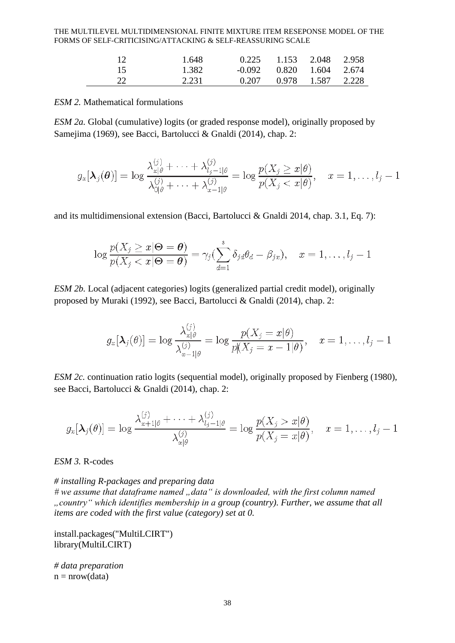| $\mathbf{1}^{\prime}$ | 1.648 |       | $0.225$ $1.153$ $2.048$ $2.958$  |  |
|-----------------------|-------|-------|----------------------------------|--|
|                       | 1.382 |       | $-0.092$ $0.820$ $1.604$ $2.674$ |  |
|                       | 2.231 | 0.207 | 0.978 1.587 2.228                |  |

#### *ESM 2.* Mathematical formulations

*ESM 2a.* Global (cumulative) logits (or graded response model), originally proposed by Samejima (1969), see Bacci, Bartolucci & Gnaldi (2014), chap. 2:

$$
g_x[\boldsymbol{\lambda}_j(\boldsymbol{\theta})] = \log \frac{\lambda_{x|\theta}^{(j)} + \cdots + \lambda_{l_j-1|\theta}^{(j)}}{\lambda_{0|\theta}^{(j)} + \cdots + \lambda_{x-1|\theta}^{(j)}} = \log \frac{p(X_j \geq x|\theta)}{p(X_j < x|\theta)}, \quad x = 1, \ldots, l_j - 1
$$

and its multidimensional extension (Bacci, Bartolucci & Gnaldi 2014, chap. 3.1, Eq. 7):

$$
\log \frac{p(X_j \geq x | \Theta = \theta)}{p(X_j < x | \Theta = \theta)} = \gamma_j \left( \sum_{d=1}^s \delta_{jd} \theta_d - \beta_{jx} \right), \quad x = 1, \dots, l_j - 1
$$

*ESM 2b.* Local (adjacent categories) logits (generalized partial credit model), originally proposed by Muraki (1992), see Bacci, Bartolucci & Gnaldi (2014), chap. 2:

$$
g_x[\boldsymbol{\lambda}_j(\theta)] = \log \frac{\lambda_{x|\theta}^{(j)}}{\lambda_{x-1|\theta}^{(j)}} = \log \frac{p(X_j = x | \theta)}{p(X_j = x - 1 | \theta)}, \quad x = 1, \ldots, l_j - 1
$$

*ESM 2c.* continuation ratio logits (sequential model), originally proposed by Fienberg (1980), see Bacci, Bartolucci & Gnaldi (2014), chap. 2:

$$
g_x[\boldsymbol{\lambda}_j(\theta)] = \log \frac{\lambda_{x+1|\theta}^{(j)} + \cdots + \lambda_{l_j-1|\theta}^{(j)}}{\lambda_{x|\theta}^{(j)}} = \log \frac{p(X_j > x | \theta)}{p(X_j = x | \theta)}, \quad x = 1, \ldots, l_j - 1
$$

*ESM 3.* R-codes

*# installing R-packages and preparing data* # we assume that dataframe named "data" is downloaded, with the first column named *"country" which identifies membership in a group (country). Further, we assume that all items are coded with the first value (category) set at 0.*

install.packages("MultiLCIRT") library(MultiLCIRT)

*# data preparation*  $n = nrow(data)$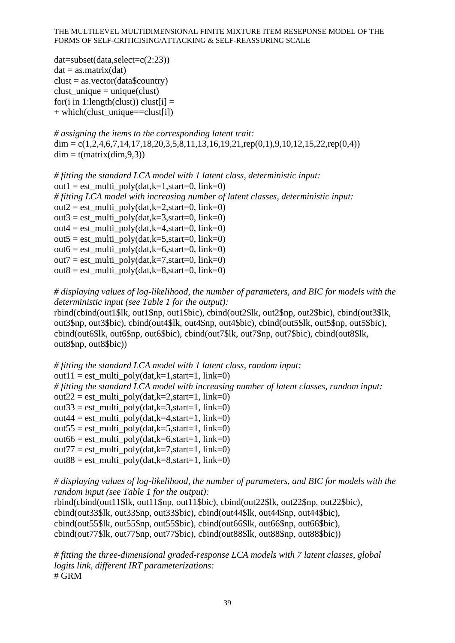```
dat = subset(data, select = c(2:23))dat = as.matrix(data)clust = as.vector(data5country)clust unique = unique(clust)
for(i in 1:length(clust)) clust[i] =+ which(clust unique==clust[i])
```

```
# assigning the items to the corresponding latent trait: 
\text{dim} = c(1,2,4,6,7,14,17,18,20,3,5,8,11,13,16,19,21,\text{rep}(0,1),9,10,12,15,22,\text{rep}(0,4))dim = t(matrix(dim,9,3))
```

```
# fitting the standard LCA model with 1 latent class, deterministic input:
out1 = est\_multi\_poly(data,k=1, start=0, link=0)# fitting LCA model with increasing number of latent classes, deterministic input:
out2 = est_multi_poly(dat,k=2,start=0, link=0)
out3 = est_multi_poly(dat,k=3,start=0, link=0)
out4 = est\_multi\_poly(data,k=4, start=0, link=0)out5 = est_multi_poly(dat,k=5,start=0, link=0)
out6 = est\_multi\_poly(data,k=6, start=0, link=0)out7 = est\_multi\_poly(data,k=7, start=0, link=0)out8 = est\_multi\_poly(data,k=8, start=0, link=0)
```
*# displaying values of log-likelihood, the number of parameters, and BIC for models with the deterministic input (see Table 1 for the output):*

rbind(cbind(out1\$lk, out1\$np, out1\$bic), cbind(out2\$lk, out2\$np, out2\$bic), cbind(out3\$lk, out3\$np, out3\$bic), cbind(out4\$lk, out4\$np, out4\$bic), cbind(out5\$lk, out5\$np, out5\$bic), cbind(out6\$lk, out6\$np, out6\$bic), cbind(out7\$lk, out7\$np, out7\$bic), cbind(out8\$lk, out8\$np, out8\$bic))

```
# fitting the standard LCA model with 1 latent class, random input:
out11 = est_multi_poly(dat,k=1,start=1, link=0)
# fitting the standard LCA model with increasing number of latent classes, random input:
out22 = est_multi_poly(dat,k=2,start=1, link=0)
out33 = est_multi_poly(dat,k=3,start=1, link=0)
out44 = est_multi_poly(dat,k=4,start=1, link=0)
out55 = est\_multi\_poly(data,k=5, start=1, link=0)out66 = est_multi_poly(dat,k=6,start=1, link=0)
out77 = est_multi_poly(dat,k=7,start=1, link=0)
out88 = est multi poly(dat,k=8,start=1, link=0)
```
*# displaying values of log-likelihood, the number of parameters, and BIC for models with the random input (see Table 1 for the output):*

rbind(cbind(out11\$lk, out11\$np, out11\$bic), cbind(out22\$lk, out22\$np, out22\$bic), cbind(out33\$lk, out33\$np, out33\$bic), cbind(out44\$lk, out44\$np, out44\$bic), cbind(out55\$lk, out55\$np, out55\$bic), cbind(out66\$lk, out66\$np, out66\$bic), cbind(out77\$lk, out77\$np, out77\$bic), cbind(out88\$lk, out88\$np, out88\$bic))

*# fitting the three-dimensional graded-response LCA models with 7 latent classes, global logits link, different IRT parameterizations:* # GRM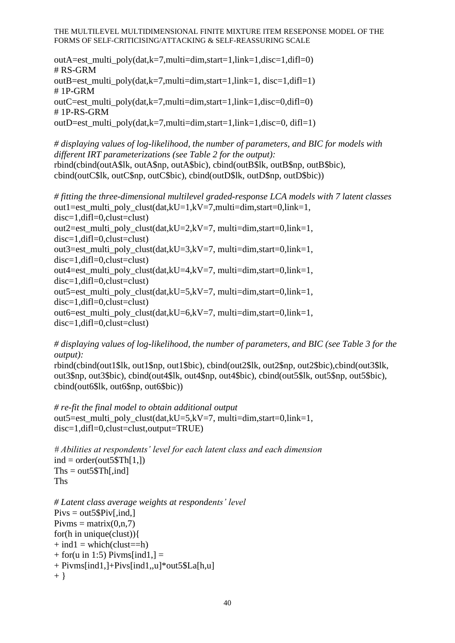outA=est\_multi\_poly(dat,k=7,multi=dim,start=1,link=1,disc=1,difl=0) # RS-GRM outB=est\_multi\_poly(dat,k=7,multi=dim,start=1,link=1, disc=1,difl=1) # 1P-GRM outC=est\_multi\_poly(dat,k=7,multi=dim,start=1,link=1,disc=0,difl=0) # 1P-RS-GRM outD=est\_multi\_poly(dat,k=7,multi=dim,start=1,link=1,disc=0, difl=1)

*# displaying values of log-likelihood, the number of parameters, and BIC for models with different IRT parameterizations (see Table 2 for the output):* rbind(cbind(outA\$lk, outA\$np, outA\$bic), cbind(outB\$lk, outB\$np, outB\$bic), cbind(outC\$lk, outC\$np, outC\$bic), cbind(outD\$lk, outD\$np, outD\$bic))

*# fitting the three-dimensional multilevel graded-response LCA models with 7 latent classes* out1=est\_multi\_poly\_clust(dat,kU=1,kV=7,multi=dim,start=0,link=1, disc=1,difl=0,clust=clust) out2=est\_multi\_poly\_clust(dat,kU=2,kV=7, multi=dim,start=0,link=1, disc=1,difl=0,clust=clust) out3=est\_multi\_poly\_clust(dat,kU=3,kV=7, multi=dim,start=0,link=1, disc=1,difl=0,clust=clust) out4=est\_multi\_poly\_clust(dat,kU=4,kV=7, multi=dim,start=0,link=1,  $disc=1.dif1=0.clust=clust)$ out5=est\_multi\_poly\_clust(dat,kU=5,kV=7, multi=dim,start=0,link=1, disc=1,difl=0,clust=clust) out6=est\_multi\_poly\_clust(dat,kU=6,kV=7, multi=dim,start=0,link=1, disc=1,difl=0,clust=clust)

*# displaying values of log-likelihood, the number of parameters, and BIC (see Table 3 for the output):*

rbind(cbind(out1\$lk, out1\$np, out1\$bic), cbind(out2\$lk, out2\$np, out2\$bic),cbind(out3\$lk, out3\$np, out3\$bic), cbind(out4\$lk, out4\$np, out4\$bic), cbind(out5\$lk, out5\$np, out5\$bic), cbind(out6\$lk, out6\$np, out6\$bic))

```
# re-fit the final model to obtain additional output
out5=est_multi_poly_clust(dat,kU=5,kV=7, multi=dim,start=0,link=1,
disc=1,difl=0,clust=clust,output=TRUE)
```

```
# Abilities at respondents' level for each latent class and each dimension
ind = order(out5$Th[1,])This = out5$Th[, ind]Ths
```

```
# Latent class average weights at respondents' level
Pivs = out5\$Piv[, ind.]Pivms = matrix(0, n, 7)for(h in unique(clust)){
+ ind1 = which(clust==h)
+ for(u in 1:5) Pivms[ind1,] =
+ Pivms[ind1,]+Pivs[ind1,,u]*out5$La[h,u]
+ }
```